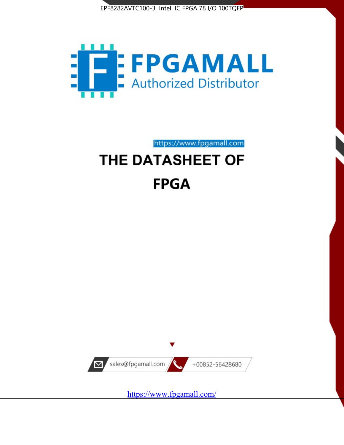



https://www.fpgamall.com THE DATASHEET OF

# **FPGA**



<https://www.fpgamall.com/>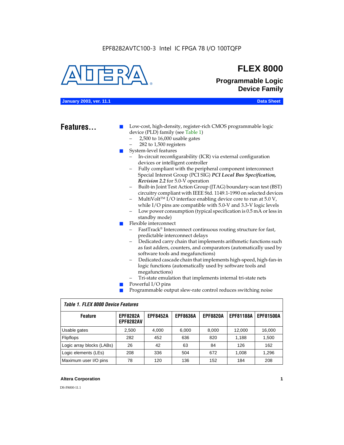#### EPF8282AVTC100-3 Intel IC FPGA 78 I/O 100TQFP



## **FLEX 8000**

**Programmable Logic Device Family**

#### **January 2003, ver. 11.1 Data Sheet**

### Features...

Low-cost, high-density, register-rich CMOS programmable logic device (PLD) family (see Table 1)

- 2,500 to 16,000 usable gates
- 282 to 1,500 registers
- System-level features
	- In-circuit reconfigurability (ICR) via external configuration devices or intelligent controller
	- Fully compliant with the peripheral component interconnect Special Interest Group (PCI SIG) *PCI Local Bus Specification, Revision 2.2* for 5.0-V operation
	- Built-in Joint Test Action Group (JTAG) boundary-scan test (BST) circuitry compliant with IEEE Std. 1149.1-1990 on selected devices
	- MultiVolt<sup>™</sup> I/O interface enabling device core to run at  $5.0 V$ , while I/O pins are compatible with 5.0-V and 3.3-V logic levels
	- Low power consumption (typical specification is 0.5 mA or less in standby mode)
- Flexible interconnect
	- FastTrack<sup>®</sup> Interconnect continuous routing structure for fast, predictable interconnect delays
	- Dedicated carry chain that implements arithmetic functions such as fast adders, counters, and comparators (automatically used by software tools and megafunctions)
	- Dedicated cascade chain that implements high-speed, high-fan-in logic functions (automatically used by software tools and megafunctions)
	- Tri-state emulation that implements internal tri-state nets
- Powerful I/O pins
- Programmable output slew-rate control reduces switching noise

| <b>Feature</b>            | <b>EPF8282A</b><br><b>EPF8282AV</b> | <b>EPF8452A</b> | <b>EPF8636A</b> | <b>EPF8820A</b> | <b>EPF81188A</b> | <b>EPF81500A</b> |  |  |  |  |  |
|---------------------------|-------------------------------------|-----------------|-----------------|-----------------|------------------|------------------|--|--|--|--|--|
| Usable gates              | 2,500                               | 4.000           | 6,000           | 8,000           | 12.000           | 16.000           |  |  |  |  |  |
| Flipflops                 | 282                                 | 452             | 636             | 820             | 1.188            | 1,500            |  |  |  |  |  |
| Logic array blocks (LABs) | 26                                  | 42              | 63              | 84              | 126              | 162              |  |  |  |  |  |
| Logic elements (LEs)      | 208                                 | 336             | 504             | 672             | 1.008            | 1,296            |  |  |  |  |  |
| Maximum user I/O pins     | 78                                  | 120             | 136             | 152             | 184              | 208              |  |  |  |  |  |

#### *Table 1. FLEX 8000 Device Features*

#### **Altera Corporation 1**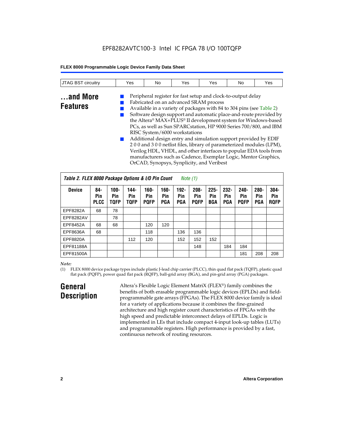### EPF8282AVTC100-3 Intel IC FPGA 78 I/O 100TQFP

#### **FLEX 8000 Programmable Logic Device Family Data Sheet**

| <b>JTAG BST circuitry</b>   | Yes | No | Yes                                                                                                                                                                                                                                                                                                                                                                                                                                                                                                                                           | Yes | No | Yes                                                                                                                                                                                                     |
|-----------------------------|-----|----|-----------------------------------------------------------------------------------------------------------------------------------------------------------------------------------------------------------------------------------------------------------------------------------------------------------------------------------------------------------------------------------------------------------------------------------------------------------------------------------------------------------------------------------------------|-----|----|---------------------------------------------------------------------------------------------------------------------------------------------------------------------------------------------------------|
| and More<br><b>Features</b> |     |    | Peripheral register for fast setup and clock-to-output delay<br>Fabricated on an advanced SRAM process<br>Available in a variety of packages with 84 to 304 pins (see Table 2)<br>PCs, as well as Sun SPARCstation, HP 9000 Series 700/800, and IBM<br>RISC System/6000 workstations<br>Additional design entry and simulation support provided by EDIF<br>200 and 300 netlist files, library of parameterized modules (LPM),<br>manufacturers such as Cadence, Exemplar Logic, Mentor Graphics,<br>OrCAD, Synopsys, Synplicity, and Veribest |     |    | Software design support and automatic place-and-route provided by<br>the Altera® MAX+PLUS® II development system for Windows-based<br>Verilog HDL, VHDL, and other interfaces to popular EDA tools from |

|               | Table 2. FLEX 8000 Package Options & I/O Pin Count<br>Note (1) |                               |                            |                               |                              |                              |                               |                              |                              |                               |                              |                               |
|---------------|----------------------------------------------------------------|-------------------------------|----------------------------|-------------------------------|------------------------------|------------------------------|-------------------------------|------------------------------|------------------------------|-------------------------------|------------------------------|-------------------------------|
| <b>Device</b> | 84-<br>Pin<br><b>PLCC</b>                                      | $100 -$<br>Pin<br><b>TOFP</b> | 144-<br>Pin<br><b>TQFP</b> | $160 -$<br>Pin<br><b>POFP</b> | $160 -$<br>Pin<br><b>PGA</b> | $192 -$<br>Pin<br><b>PGA</b> | $208 -$<br>Pin<br><b>POFP</b> | $225 -$<br>Pin<br><b>BGA</b> | $232 -$<br>Pin<br><b>PGA</b> | $240 -$<br>Pin<br><b>PQFP</b> | $280 -$<br>Pin<br><b>PGA</b> | $304 -$<br>Pin<br><b>RQFP</b> |
| EPF8282A      | 68                                                             | 78                            |                            |                               |                              |                              |                               |                              |                              |                               |                              |                               |
| EPF8282AV     |                                                                | 78                            |                            |                               |                              |                              |                               |                              |                              |                               |                              |                               |
| EPF8452A      | 68                                                             | 68                            |                            | 120                           | 120                          |                              |                               |                              |                              |                               |                              |                               |
| EPF8636A      | 68                                                             |                               |                            | 118                           |                              | 136                          | 136                           |                              |                              |                               |                              |                               |
| EPF8820A      |                                                                |                               | 112                        | 120                           |                              | 152                          | 152                           | 152                          |                              |                               |                              |                               |
| EPF81188A     |                                                                |                               |                            |                               |                              |                              | 148                           |                              | 184                          | 184                           |                              |                               |
| EPF81500A     |                                                                |                               |                            |                               |                              |                              |                               |                              |                              | 181                           | 208                          | 208                           |

#### *Note:*

(1) FLEX 8000 device package types include plastic J-lead chip carrier (PLCC), thin quad flat pack (TQFP), plastic quad flat pack (PQFP), power quad flat pack (RQFP), ball-grid array (BGA), and pin-grid array (PGA) packages.

### **General Description**

Altera's Flexible Logic Element MatriX (FLEX®) family combines the benefits of both erasable programmable logic devices (EPLDs) and fieldprogrammable gate arrays (FPGAs). The FLEX 8000 device family is ideal for a variety of applications because it combines the fine-grained architecture and high register count characteristics of FPGAs with the high speed and predictable interconnect delays of EPLDs. Logic is implemented in LEs that include compact 4-input look-up tables (LUTs) and programmable registers. High performance is provided by a fast, continuous network of routing resources.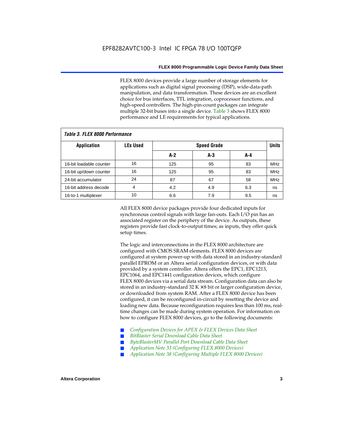FLEX 8000 devices provide a large number of storage elements for applications such as digital signal processing (DSP), wide-data-path manipulation, and data transformation. These devices are an excellent choice for bus interfaces, TTL integration, coprocessor functions, and high-speed controllers. The high-pin-count packages can integrate multiple 32-bit buses into a single device. Table 3 shows FLEX 8000 performance and LE requirements for typical applications.

| Tadie S. Flex ouuu perioriitailce |                 |       |                    |     |            |  |  |  |  |  |  |
|-----------------------------------|-----------------|-------|--------------------|-----|------------|--|--|--|--|--|--|
| <b>Application</b>                | <b>LEs Used</b> |       | <b>Speed Grade</b> |     |            |  |  |  |  |  |  |
|                                   |                 | $A-2$ | A-3                | A-4 |            |  |  |  |  |  |  |
| 16-bit loadable counter           | 16              | 125   | 95                 | 83  | <b>MHz</b> |  |  |  |  |  |  |
| 16-bit up/down counter            | 16              | 125   | 95                 | 83  | <b>MHz</b> |  |  |  |  |  |  |
| 24-bit accumulator                | 24              | 87    | 67                 | 58  | <b>MHz</b> |  |  |  |  |  |  |
| 16-bit address decode             | 4               | 4.2   | 4.9                | 6.3 | ns         |  |  |  |  |  |  |
| 16-to-1 multiplexer               | 10              | 6.6   | 7.9                | 9.5 | ns         |  |  |  |  |  |  |

*Table 3. FLEX 8000 Performance*

All FLEX 8000 device packages provide four dedicated inputs for synchronous control signals with large fan-outs. Each I/O pin has an associated register on the periphery of the device. As outputs, these registers provide fast clock-to-output times; as inputs, they offer quick setup times.

The logic and interconnections in the FLEX 8000 architecture are configured with CMOS SRAM elements. FLEX 8000 devices are configured at system power-up with data stored in an industry-standard parallel EPROM or an Altera serial configuration devices, or with data provided by a system controller. Altera offers the EPC1, EPC1213, EPC1064, and EPC1441 configuration devices, which configure FLEX 8000 devices via a serial data stream. Configuration data can also be stored in an industry-standard  $32 K \times 8$  bit or larger configuration device, or downloaded from system RAM. After a FLEX 8000 device has been configured, it can be reconfigured in-circuit by resetting the device and loading new data. Because reconfiguration requires less than 100 ms, realtime changes can be made during system operation. For information on how to configure FLEX 8000 devices, go to the following documents:

- Configuration Devices for APEX & FLEX Devices Data Sheet
- $BitBlaster$  Serial Download Cable Data Sheet
- ByteBlasterMV Parallel Port Download Cable Data Sheet
- *Application Note 33 (Configuring FLEX 8000 Devices)*
- *Application Note 38 (Configuring Multiple FLEX 8000 Devices)*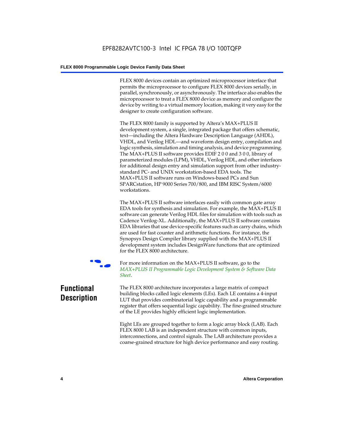FLEX 8000 devices contain an optimized microprocessor interface that permits the microprocessor to configure FLEX 8000 devices serially, in parallel, synchronously, or asynchronously. The interface also enables the microprocessor to treat a FLEX 8000 device as memory and configure the device by writing to a virtual memory location, making it very easy for the designer to create configuration software.

The FLEX 8000 family is supported by Altera's MAX+PLUS II development system, a single, integrated package that offers schematic, text—including the Altera Hardware Description Language (AHDL), VHDL, and Verilog HDL—and waveform design entry, compilation and logic synthesis, simulation and timing analysis, and device programming. The MAX+PLUS II software provides EDIF 2 0 0 and 3 0 0, library of parameterized modules (LPM), VHDL, Verilog HDL, and other interfaces for additional design entry and simulation support from other industrystandard PC- and UNIX workstation-based EDA tools. The MAX+PLUS II software runs on Windows-based PCs and Sun SPARCstation, HP 9000 Series 700/800, and IBM RISC System/6000 workstations.

The MAX+PLUS II software interfaces easily with common gate array EDA tools for synthesis and simulation. For example, the MAX+PLUS II software can generate Verilog HDL files for simulation with tools such as Cadence Verilog-XL. Additionally, the MAX+PLUS II software contains EDA libraries that use device-specific features such as carry chains, which are used for fast counter and arithmetic functions. For instance, the Synopsys Design Compiler library supplied with the MAX+PLUS II development system includes DesignWare functions that are optimized for the FLEX 8000 architecture.



For more information on the MAX+PLUS II software, go to the *MAX+PLUS II Programmable Logic Development System & Software Data Sheet*.

### **Functional Description**

The FLEX 8000 architecture incorporates a large matrix of compact building blocks called logic elements (LEs). Each LE contains a 4-input LUT that provides combinatorial logic capability and a programmable register that offers sequential logic capability. The fine-grained structure of the LE provides highly efficient logic implementation.

Eight LEs are grouped together to form a logic array block (LAB). Each FLEX 8000 LAB is an independent structure with common inputs, interconnections, and control signals. The LAB architecture provides a coarse-grained structure for high device performance and easy routing.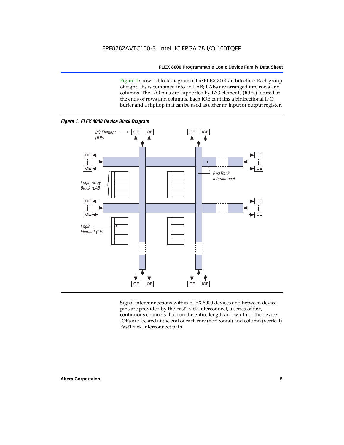Figure 1 shows a block diagram of the FLEX 8000 architecture. Each group of eight LEs is combined into an LAB; LABs are arranged into rows and columns. The I/O pins are supported by I/O elements (IOEs) located at the ends of rows and columns. Each IOE contains a bidirectional I/O buffer and a flipflop that can be used as either an input or output register.



Signal interconnections within FLEX 8000 devices and between device pins are provided by the FastTrack Interconnect, a series of fast, continuous channels that run the entire length and width of the device. IOEs are located at the end of each row (horizontal) and column (vertical) FastTrack Interconnect path.

#### **Altera Corporation 5**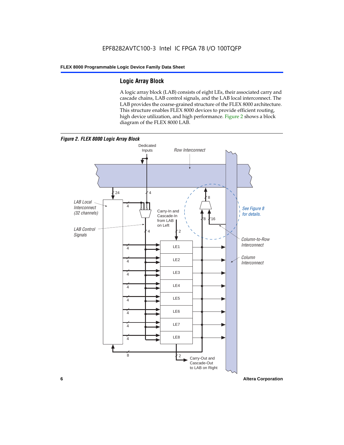### **Logic Array Block**

A logic array block (LAB) consists of eight LEs, their associated carry and cascade chains, LAB control signals, and the LAB local interconnect. The LAB provides the coarse-grained structure of the FLEX 8000 architecture. This structure enables FLEX 8000 devices to provide efficient routing, high device utilization, and high performance. Figure 2 shows a block diagram of the FLEX 8000 LAB.



**6 Altera Corporation**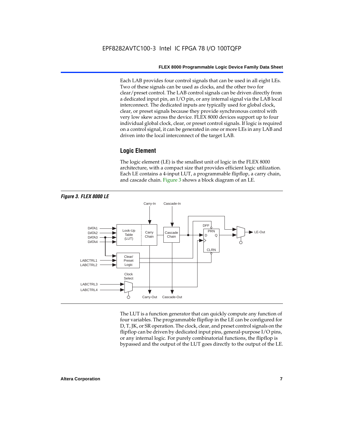Each LAB provides four control signals that can be used in all eight LEs. Two of these signals can be used as clocks, and the other two for clear/preset control. The LAB control signals can be driven directly from a dedicated input pin, an I/O pin, or any internal signal via the LAB local interconnect. The dedicated inputs are typically used for global clock, clear, or preset signals because they provide synchronous control with very low skew across the device. FLEX 8000 devices support up to four individual global clock, clear, or preset control signals. If logic is required on a control signal, it can be generated in one or more LEs in any LAB and driven into the local interconnect of the target LAB.

#### **Logic Element**

The logic element (LE) is the smallest unit of logic in the FLEX 8000 architecture, with a compact size that provides efficient logic utilization. Each LE contains a 4-input LUT, a programmable flipflop, a carry chain, and cascade chain. Figure 3 shows a block diagram of an LE.



The LUT is a function generator that can quickly compute any function of four variables. The programmable flipflop in the LE can be configured for D, T, JK, or SR operation. The clock, clear, and preset control signals on the flipflop can be driven by dedicated input pins, general-purpose I/O pins, or any internal logic. For purely combinatorial functions, the flipflop is bypassed and the output of the LUT goes directly to the output of the LE.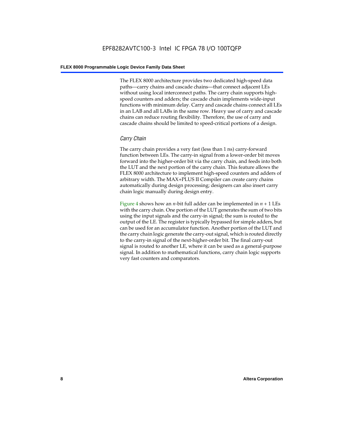The FLEX 8000 architecture provides two dedicated high-speed data paths—carry chains and cascade chains—that connect adjacent LEs without using local interconnect paths. The carry chain supports highspeed counters and adders; the cascade chain implements wide-input functions with minimum delay. Carry and cascade chains connect all LEs in an LAB and all LABs in the same row. Heavy use of carry and cascade chains can reduce routing flexibility. Therefore, the use of carry and cascade chains should be limited to speed-critical portions of a design.

#### *Carry Chain*

The carry chain provides a very fast (less than 1 ns) carry-forward function between LEs. The carry-in signal from a lower-order bit moves forward into the higher-order bit via the carry chain, and feeds into both the LUT and the next portion of the carry chain. This feature allows the FLEX 8000 architecture to implement high-speed counters and adders of arbitrary width. The MAX+PLUS II Compiler can create carry chains automatically during design processing; designers can also insert carry chain logic manually during design entry.

Figure 4 shows how an *n*-bit full adder can be implemented in *n* + 1 LEs with the carry chain. One portion of the LUT generates the sum of two bits using the input signals and the carry-in signal; the sum is routed to the output of the LE. The register is typically bypassed for simple adders, but can be used for an accumulator function. Another portion of the LUT and the carry chain logic generate the carry-out signal, which is routed directly to the carry-in signal of the next-higher-order bit. The final carry-out signal is routed to another LE, where it can be used as a general-purpose signal. In addition to mathematical functions, carry chain logic supports very fast counters and comparators.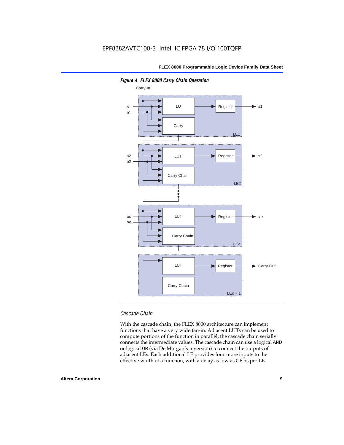

*Figure 4. FLEX 8000 Carry Chain Operation*

#### *Cascade Chain*

With the cascade chain, the FLEX 8000 architecture can implement functions that have a very wide fan-in. Adjacent LUTs can be used to compute portions of the function in parallel; the cascade chain serially connects the intermediate values. The cascade chain can use a logical AND or logical OR (via De Morgan's inversion) to connect the outputs of adjacent LEs. Each additional LE provides four more inputs to the effective width of a function, with a delay as low as 0.6 ns per LE.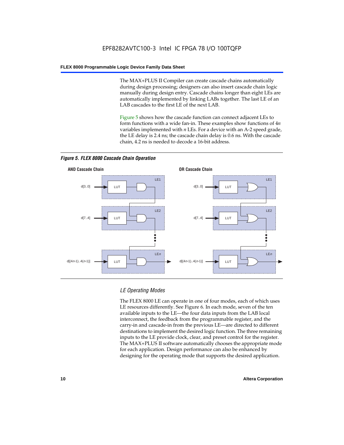The MAX+PLUS II Compiler can create cascade chains automatically during design processing; designers can also insert cascade chain logic manually during design entry. Cascade chains longer than eight LEs are automatically implemented by linking LABs together. The last LE of an LAB cascades to the first LE of the next LAB.

Figure 5 shows how the cascade function can connect adjacent LEs to form functions with a wide fan-in. These examples show functions of 4*n* variables implemented with *n* LEs. For a device with an A-2 speed grade, the LE delay is 2.4 ns; the cascade chain delay is 0.6 ns. With the cascade chain, 4.2 ns is needed to decode a 16-bit address.



*Figure 5. FLEX 8000 Cascade Chain Operation*

#### *LE Operating Modes*

The FLEX 8000 LE can operate in one of four modes, each of which uses LE resources differently. See Figure 6. In each mode, seven of the ten available inputs to the LE—the four data inputs from the LAB local interconnect, the feedback from the programmable register, and the carry-in and cascade-in from the previous LE—are directed to different destinations to implement the desired logic function. The three remaining inputs to the LE provide clock, clear, and preset control for the register. The MAX+PLUS II software automatically chooses the appropriate mode for each application. Design performance can also be enhanced by designing for the operating mode that supports the desired application.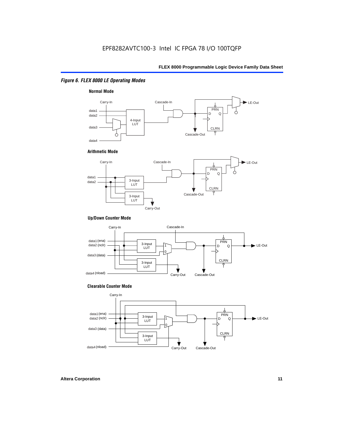#### *Figure 6. FLEX 8000 LE Operating Modes*



#### **Arithmetic Mode**



#### **Up/Down Counter Mode**



#### **Clearable Counter Mode**

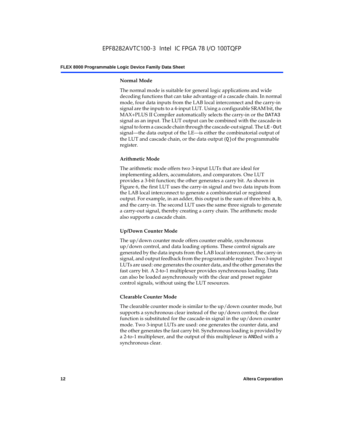#### **Normal Mode**

The normal mode is suitable for general logic applications and wide decoding functions that can take advantage of a cascade chain. In normal mode, four data inputs from the LAB local interconnect and the carry-in signal are the inputs to a 4-input LUT. Using a configurable SRAM bit, the MAX+PLUS II Compiler automatically selects the carry-in or the DATA3 signal as an input. The LUT output can be combined with the cascade-in signal to form a cascade chain through the cascade-out signal. The LE-Out signal—the data output of the LE—is either the combinatorial output of the LUT and cascade chain, or the data output  $(Q)$  of the programmable register.

#### **Arithmetic Mode**

The arithmetic mode offers two 3-input LUTs that are ideal for implementing adders, accumulators, and comparators. One LUT provides a 3-bit function; the other generates a carry bit. As shown in Figure 6, the first LUT uses the carry-in signal and two data inputs from the LAB local interconnect to generate a combinatorial or registered output. For example, in an adder, this output is the sum of three bits: a, b, and the carry-in. The second LUT uses the same three signals to generate a carry-out signal, thereby creating a carry chain. The arithmetic mode also supports a cascade chain.

#### **Up/Down Counter Mode**

The up/down counter mode offers counter enable, synchronous up/down control, and data loading options. These control signals are generated by the data inputs from the LAB local interconnect, the carry-in signal, and output feedback from the programmable register. Two 3-input LUTs are used: one generates the counter data, and the other generates the fast carry bit. A 2-to-1 multiplexer provides synchronous loading. Data can also be loaded asynchronously with the clear and preset register control signals, without using the LUT resources.

#### **Clearable Counter Mode**

The clearable counter mode is similar to the up/down counter mode, but supports a synchronous clear instead of the up/down control; the clear function is substituted for the cascade-in signal in the up/down counter mode. Two 3-input LUTs are used: one generates the counter data, and the other generates the fast carry bit. Synchronous loading is provided by a 2-to-1 multiplexer, and the output of this multiplexer is ANDed with a synchronous clear.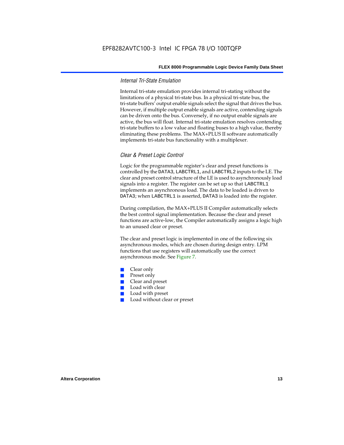#### *Internal Tri-State Emulation*

Internal tri-state emulation provides internal tri-stating without the limitations of a physical tri-state bus. In a physical tri-state bus, the tri-state buffers' output enable signals select the signal that drives the bus. However, if multiple output enable signals are active, contending signals can be driven onto the bus. Conversely, if no output enable signals are active, the bus will float. Internal tri-state emulation resolves contending tri-state buffers to a low value and floating buses to a high value, thereby eliminating these problems. The MAX+PLUS II software automatically implements tri-state bus functionality with a multiplexer.

#### *Clear & Preset Logic Control*

Logic for the programmable register's clear and preset functions is controlled by the DATA3, LABCTRL1, and LABCTRL2 inputs to the LE. The clear and preset control structure of the LE is used to asynchronously load signals into a register. The register can be set up so that LABCTRL1 implements an asynchronous load. The data to be loaded is driven to DATA3; when LABCTRL1 is asserted, DATA3 is loaded into the register.

During compilation, the MAX+PLUS II Compiler automatically selects the best control signal implementation. Because the clear and preset functions are active-low, the Compiler automatically assigns a logic high to an unused clear or preset.

The clear and preset logic is implemented in one of the following six asynchronous modes, which are chosen during design entry. LPM functions that use registers will automatically use the correct asynchronous mode. See Figure 7.

- Clear only
- Preset only
- Clear and preset
- Load with clear
- Load with preset
- Load without clear or preset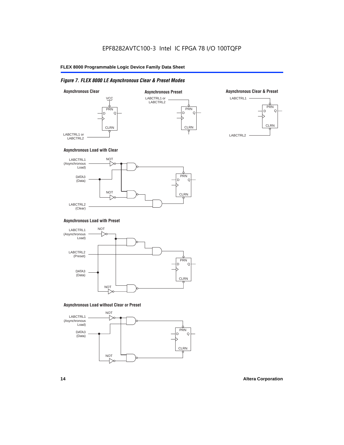#### *Figure 7. FLEX 8000 LE Asynchronous Clear & Preset Modes*



#### **Asynchronous Load with Clear**



#### **Asynchronous Load with Preset**



#### **Asynchronous Load without Clear or Preset**

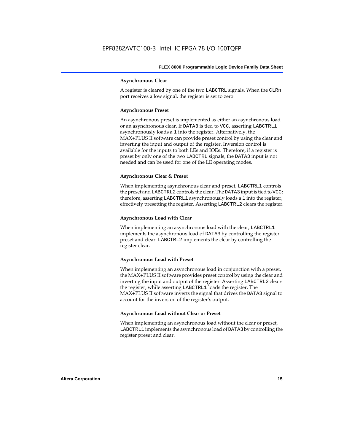#### **Asynchronous Clear**

A register is cleared by one of the two LABCTRL signals. When the CLRn port receives a low signal, the register is set to zero.

#### **Asynchronous Preset**

An asynchronous preset is implemented as either an asynchronous load or an asynchronous clear. If DATA3 is tied to VCC, asserting LABCTRLl asynchronously loads a 1 into the register. Alternatively, the MAX+PLUS II software can provide preset control by using the clear and inverting the input and output of the register. Inversion control is available for the inputs to both LEs and IOEs. Therefore, if a register is preset by only one of the two LABCTRL signals, the DATA3 input is not needed and can be used for one of the LE operating modes.

#### **Asynchronous Clear & Preset**

When implementing asynchronous clear and preset, LABCTRL1 controls the preset and LABCTRL2 controls the clear. The DATA3 input is tied to VCC; therefore, asserting LABCTRL1 asynchronously loads a 1 into the register, effectively presetting the register. Asserting LABCTRL2 clears the register.

#### **Asynchronous Load with Clear**

When implementing an asynchronous load with the clear, LABCTRL1 implements the asynchronous load of DATA3 by controlling the register preset and clear. LABCTRL2 implements the clear by controlling the register clear.

#### **Asynchronous Load with Preset**

When implementing an asynchronous load in conjunction with a preset, the MAX+PLUS II software provides preset control by using the clear and inverting the input and output of the register. Asserting LABCTRL2 clears the register, while asserting LABCTRL1 loads the register. The MAX+PLUS II software inverts the signal that drives the DATA3 signal to account for the inversion of the register's output.

#### **Asynchronous Load without Clear or Preset**

When implementing an asynchronous load without the clear or preset, LABCTRL1 implements the asynchronous load of DATA3 by controlling the register preset and clear.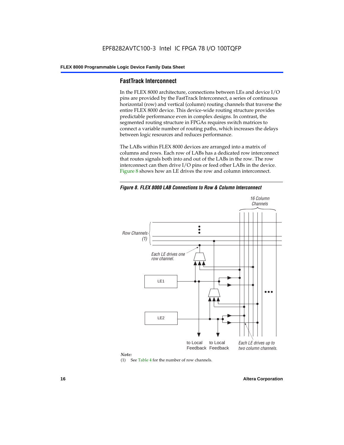#### **FastTrack Interconnect**

In the FLEX 8000 architecture, connections between LEs and device I/O pins are provided by the FastTrack Interconnect, a series of continuous horizontal (row) and vertical (column) routing channels that traverse the entire FLEX 8000 device. This device-wide routing structure provides predictable performance even in complex designs. In contrast, the segmented routing structure in FPGAs requires switch matrices to connect a variable number of routing paths, which increases the delays between logic resources and reduces performance.

The LABs within FLEX 8000 devices are arranged into a matrix of columns and rows. Each row of LABs has a dedicated row interconnect that routes signals both into and out of the LABs in the row. The row interconnect can then drive I/O pins or feed other LABs in the device. Figure 8 shows how an LE drives the row and column interconnect.

*Figure 8. FLEX 8000 LAB Connections to Row & Column Interconnect*





(1) See Table 4 for the number of row channels.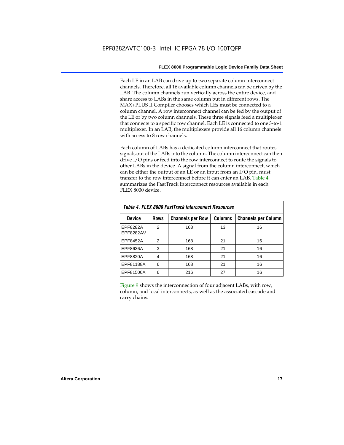Each LE in an LAB can drive up to two separate column interconnect channels. Therefore, all 16 available column channels can be driven by the LAB. The column channels run vertically across the entire device, and share access to LABs in the same column but in different rows. The MAX+PLUS II Compiler chooses which LEs must be connected to a column channel. A row interconnect channel can be fed by the output of the LE or by two column channels. These three signals feed a multiplexer that connects to a specific row channel. Each LE is connected to one 3-to-1 multiplexer. In an LAB, the multiplexers provide all 16 column channels with access to 8 row channels.

Each column of LABs has a dedicated column interconnect that routes signals out of the LABs into the column. The column interconnect can then drive I/O pins or feed into the row interconnect to route the signals to other LABs in the device. A signal from the column interconnect, which can be either the output of an LE or an input from an I/O pin, must transfer to the row interconnect before it can enter an LAB. Table 4 summarizes the FastTrack Interconnect resources available in each FLEX 8000 device.

| Table 4. FLEX 8000 FastTrack Interconnect Resources |               |                         |                |                            |  |  |  |  |  |  |  |
|-----------------------------------------------------|---------------|-------------------------|----------------|----------------------------|--|--|--|--|--|--|--|
| <b>Device</b>                                       | <b>Rows</b>   | <b>Channels per Row</b> | <b>Columns</b> | <b>Channels per Column</b> |  |  |  |  |  |  |  |
| EPF8282A<br>EPF8282AV                               | $\mathcal{P}$ | 168                     | 13             | 16                         |  |  |  |  |  |  |  |
| EPF8452A                                            | $\mathcal{P}$ | 168                     | 21             | 16                         |  |  |  |  |  |  |  |
| EPF8636A                                            | 3             | 168                     | 21             | 16                         |  |  |  |  |  |  |  |
| EPF8820A                                            | 4             | 168                     | 21             | 16                         |  |  |  |  |  |  |  |
| EPF81188A                                           | 6             | 168                     | 21             | 16                         |  |  |  |  |  |  |  |
| EPF81500A                                           | 6             | 216                     | 27             | 16                         |  |  |  |  |  |  |  |

Figure 9 shows the interconnection of four adjacent LABs, with row, column, and local interconnects, as well as the associated cascade and carry chains.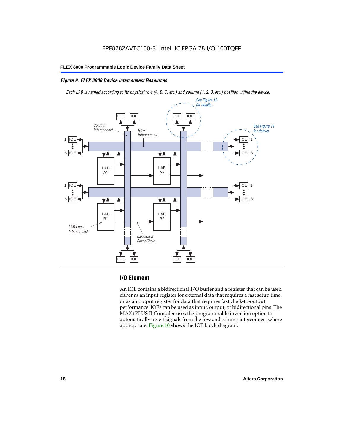#### *Figure 9. FLEX 8000 Device Interconnect Resources*

*Each LAB is named according to its physical row (A, B, C, etc.) and column (1, 2, 3, etc.) position within the device.*



#### **I/O Element**

An IOE contains a bidirectional I/O buffer and a register that can be used either as an input register for external data that requires a fast setup time, or as an output register for data that requires fast clock-to-output performance. IOEs can be used as input, output, or bidirectional pins. The MAX+PLUS II Compiler uses the programmable inversion option to automatically invert signals from the row and column interconnect where appropriate. Figure 10 shows the IOE block diagram.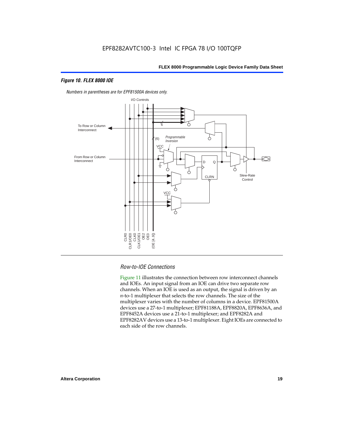#### *Figure 10. FLEX 8000 IOE*



*Numbers in parentheses are for EPF81500A devices only.*

#### *Row-to-IOE Connections*

Figure 11 illustrates the connection between row interconnect channels and IOEs. An input signal from an IOE can drive two separate row channels. When an IOE is used as an output, the signal is driven by an *n*-to-1 multiplexer that selects the row channels. The size of the multiplexer varies with the number of columns in a device. EPF81500A devices use a 27-to-1 multiplexer; EPF81188A, EPF8820A, EPF8636A, and EPF8452A devices use a 21-to-1 multiplexer; and EPF8282A and EPF8282AV devices use a 13-to-1 multiplexer. Eight IOEs are connected to each side of the row channels.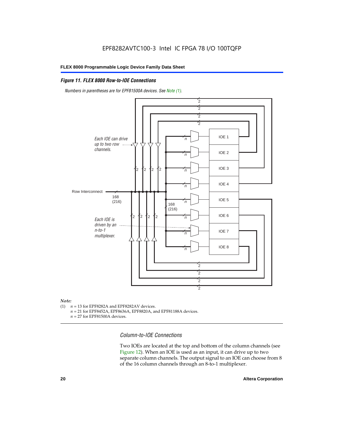#### *Figure 11. FLEX 8000 Row-to-IOE Connections*

*Numbers in parentheses are for EPF81500A devices. See Note (1).*



## *Note:*<br>(1) *n*

- $n = 13$  for EPF8282A and EPF8282AV devices.
	- *n* = 21 for EPF8452A, EPF8636A, EPF8820A, and EPF81188A devices.
	- *n* = 27 for EPF81500A devices.

*Column-to-IOE Connections*

Two IOEs are located at the top and bottom of the column channels (see Figure 12). When an IOE is used as an input, it can drive up to two separate column channels. The output signal to an IOE can choose from 8 of the 16 column channels through an 8-to-1 multiplexer.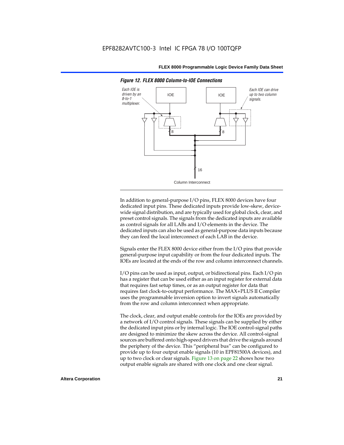

*Figure 12. FLEX 8000 Column-to-IOE Connections*

In addition to general-purpose I/O pins, FLEX 8000 devices have four dedicated input pins. These dedicated inputs provide low-skew, devicewide signal distribution, and are typically used for global clock, clear, and preset control signals. The signals from the dedicated inputs are available as control signals for all LABs and I/O elements in the device. The dedicated inputs can also be used as general-purpose data inputs because they can feed the local interconnect of each LAB in the device.

Signals enter the FLEX 8000 device either from the I/O pins that provide general-purpose input capability or from the four dedicated inputs. The IOEs are located at the ends of the row and column interconnect channels.

I/O pins can be used as input, output, or bidirectional pins. Each I/O pin has a register that can be used either as an input register for external data that requires fast setup times, or as an output register for data that requires fast clock-to-output performance. The MAX+PLUS II Compiler uses the programmable inversion option to invert signals automatically from the row and column interconnect when appropriate.

The clock, clear, and output enable controls for the IOEs are provided by a network of I/O control signals. These signals can be supplied by either the dedicated input pins or by internal logic. The IOE control-signal paths are designed to minimize the skew across the device. All control-signal sources are buffered onto high-speed drivers that drive the signals around the periphery of the device. This "peripheral bus" can be configured to provide up to four output enable signals (10 in EPF81500A devices), and up to two clock or clear signals. Figure 13 on page 22 shows how two output enable signals are shared with one clock and one clear signal.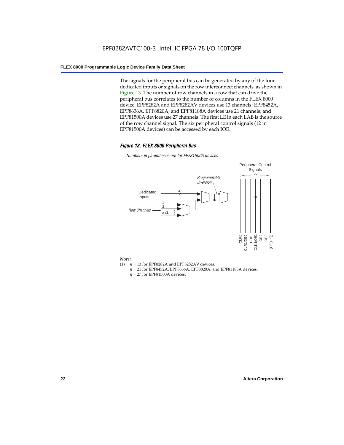The signals for the peripheral bus can be generated by any of the four dedicated inputs or signals on the row interconnect channels, as shown in Figure 13. The number of row channels in a row that can drive the peripheral bus correlates to the number of columns in the FLEX 8000 device. EPF8282A and EPF8282AV devices use 13 channels; EPF8452A, EPF8636A, EPF8820A, and EPF81188A devices use 21 channels; and EPF81500A devices use 27 channels. The first LE in each LAB is the source of the row channel signal. The six peripheral control signals (12 in EPF81500A devices) can be accessed by each IOE.

#### *Figure 13. FLEX 8000 Peripheral Bus*

*Numbers in parentheses are for EPF81500A devices.*



#### *Note:*

- (1)  $n = 13$  for EPF8282A and EPF8282AV devices.
	- *n* = 21 for EPF8452A, EPF8636A, EPF8820A, and EPF81188A devices.
	- *n* = 27 for EPF81500A devices.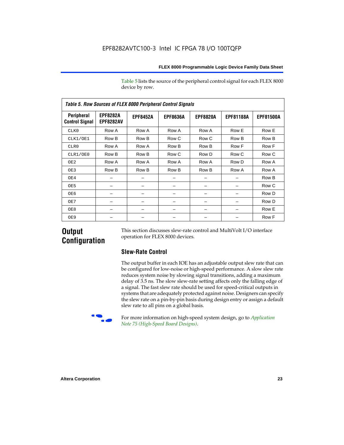Table 5 lists the source of the peripheral control signal for each FLEX 8000 device by row.

| <b>Table 5. Row Sources of FLEX 8000 Peripheral Control Signals</b> |                                     |                 |                 |                 |                  |                  |  |  |  |  |  |
|---------------------------------------------------------------------|-------------------------------------|-----------------|-----------------|-----------------|------------------|------------------|--|--|--|--|--|
| Peripheral<br><b>Control Signal</b>                                 | <b>EPF8282A</b><br><b>EPF8282AV</b> | <b>EPF8452A</b> | <b>EPF8636A</b> | <b>EPF8820A</b> | <b>EPF81188A</b> | <b>EPF81500A</b> |  |  |  |  |  |
| CLK0                                                                | Row A                               | Row A           | Row A           | Row A           | Row E            | Row E            |  |  |  |  |  |
| CLK1/OE1                                                            | Row B                               | Row B           | Row C           | Row C           | Row B            | Row B            |  |  |  |  |  |
| CLR0                                                                | Row A                               | Row A           | Row B           | Row B           | Row F            | Row F            |  |  |  |  |  |
| CLR1/OE0                                                            | Row B                               | Row B           | Row C           | Row D           | Row C            | Row C            |  |  |  |  |  |
| OE <sub>2</sub>                                                     | Row A                               | Row A           | Row A           | Row A           | Row D            | Row A            |  |  |  |  |  |
| OE3                                                                 | Row B                               | Row B           | Row B           | Row B           | Row A            | Row A            |  |  |  |  |  |
| OE4                                                                 |                                     |                 |                 |                 |                  | Row B            |  |  |  |  |  |
| OE5                                                                 |                                     |                 |                 |                 |                  | Row C            |  |  |  |  |  |
| OE6                                                                 |                                     |                 |                 |                 |                  | Row D            |  |  |  |  |  |
| OE7                                                                 |                                     |                 |                 |                 |                  | Row D            |  |  |  |  |  |
| OE8                                                                 |                                     |                 |                 |                 |                  | Row E            |  |  |  |  |  |
| OE9                                                                 |                                     |                 |                 |                 |                  | Row F            |  |  |  |  |  |

### **Output Configuration**

This section discusses slew-rate control and MultiVolt I/O interface operation for FLEX 8000 devices.

#### **Slew-Rate Control**

The output buffer in each IOE has an adjustable output slew rate that can be configured for low-noise or high-speed performance. A slow slew rate reduces system noise by slowing signal transitions, adding a maximum delay of 3.5 ns. The slow slew-rate setting affects only the falling edge of a signal. The fast slew rate should be used for speed-critical outputs in systems that are adequately protected against noise. Designers can specify the slew rate on a pin-by-pin basis during design entry or assign a default slew rate to all pins on a global basis.



f For more information on high-speed system design, go to *Application Note 75 (High-Speed Board Designs)*.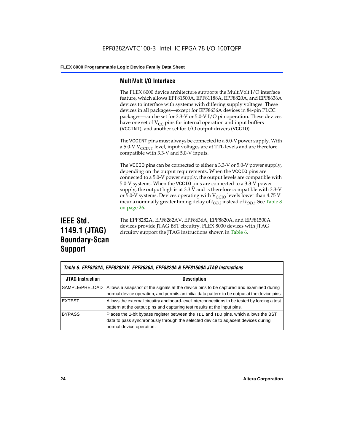#### **MultiVolt I/O Interface**

The FLEX 8000 device architecture supports the MultiVolt I/O interface feature, which allows EPF81500A, EPF81188A, EPF8820A, and EPF8636A devices to interface with systems with differing supply voltages. These devices in all packages—except for EPF8636A devices in 84-pin PLCC packages—can be set for 3.3-V or 5.0-V I/O pin operation. These devices have one set of  $V_{CC}$  pins for internal operation and input buffers (VCCINT), and another set for I/O output drivers (VCCIO).

The VCCINT pins must always be connected to a 5.0-V power supply. With a 5.0-V  $V_{\text{CCINT}}$  level, input voltages are at TTL levels and are therefore compatible with 3.3-V and 5.0-V inputs.

The VCCIO pins can be connected to either a 3.3-V or 5.0-V power supply, depending on the output requirements. When the VCCIO pins are connected to a 5.0-V power supply, the output levels are compatible with 5.0-V systems. When the VCCIO pins are connected to a 3.3-V power supply, the output high is at 3.3 V and is therefore compatible with 3.3-V or 5.0-V systems. Devices operating with  $V_{\text{C}CD}$  levels lower than 4.75 V incur a nominally greater timing delay of  $t_{OD2}$  instead of  $t_{OD1}$ . See Table 8 on page 26.

## **IEEE Std. 1149.1 (JTAG) Boundary-Scan Support**

The EPF8282A, EPF8282AV, EPF8636A, EPF8820A, and EPF81500A devices provide JTAG BST circuitry. FLEX 8000 devices with JTAG circuitry support the JTAG instructions shown in Table 6.

|                         | Table 6. EPF8282A, EPF8282AV, EPF8636A, EPF8820A & EPF81500A JTAG Instructions                                                                                                                       |  |  |  |  |  |  |
|-------------------------|------------------------------------------------------------------------------------------------------------------------------------------------------------------------------------------------------|--|--|--|--|--|--|
| <b>JTAG Instruction</b> | <b>Description</b>                                                                                                                                                                                   |  |  |  |  |  |  |
| SAMPLE/PRELOAD          | Allows a snapshot of the signals at the device pins to be captured and examined during<br>normal device operation, and permits an initial data pattern to be output at the device pins.              |  |  |  |  |  |  |
| <b>EXTEST</b>           | Allows the external circuitry and board-level interconnections to be tested by forcing a test<br>pattern at the output pins and capturing test results at the input pins.                            |  |  |  |  |  |  |
| <b>BYPASS</b>           | Places the 1-bit bypass register between the TDI and TDO pins, which allows the BST<br>data to pass synchronously through the selected device to adjacent devices during<br>normal device operation. |  |  |  |  |  |  |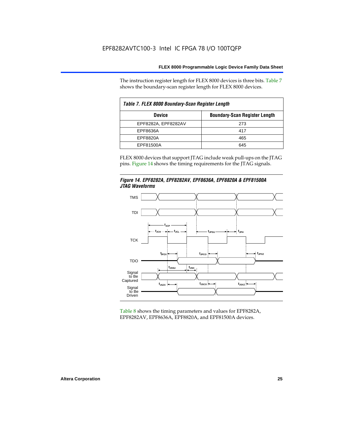The instruction register length for FLEX 8000 devices is three bits. Table 7 shows the boundary-scan register length for FLEX 8000 devices.

| Table 7. FLEX 8000 Boundary-Scan Register Length |                                      |  |  |  |  |  |  |
|--------------------------------------------------|--------------------------------------|--|--|--|--|--|--|
| <b>Device</b>                                    | <b>Boundary-Scan Register Length</b> |  |  |  |  |  |  |
| EPF8282A, EPF8282AV                              | 273                                  |  |  |  |  |  |  |
| EPF8636A                                         | 417                                  |  |  |  |  |  |  |
| EPF8820A                                         | 465                                  |  |  |  |  |  |  |
| EPF81500A                                        | 645                                  |  |  |  |  |  |  |

FLEX 8000 devices that support JTAG include weak pull-ups on the JTAG pins. Figure 14 shows the timing requirements for the JTAG signals.





Table 8 shows the timing parameters and values for EPF8282A, EPF8282AV, EPF8636A, EPF8820A, and EPF81500A devices.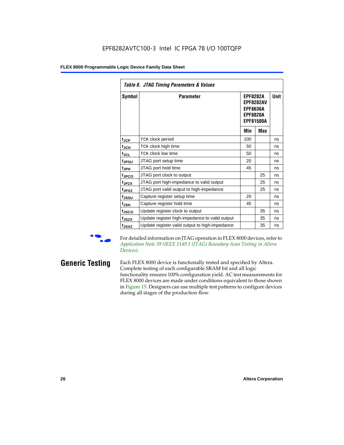|                               | Table 8. JTAG Timing Parameters & Values       |                                                                                               |            |             |  |  |  |  |  |  |  |
|-------------------------------|------------------------------------------------|-----------------------------------------------------------------------------------------------|------------|-------------|--|--|--|--|--|--|--|
| Symbol                        | <b>Parameter</b>                               | <b>EPF8282A</b><br><b>EPF8282AV</b><br><b>EPF8636A</b><br><b>EPF8820A</b><br><b>EPF81500A</b> |            | <b>Unit</b> |  |  |  |  |  |  |  |
|                               |                                                | Min                                                                                           | <b>Max</b> |             |  |  |  |  |  |  |  |
| $t_{\mathsf{JCP}}$            | TCK clock period                               | 100                                                                                           |            | ns          |  |  |  |  |  |  |  |
| $\mathfrak{t}_{\mathsf{JCH}}$ | TCK clock high time                            | 50                                                                                            |            | ns          |  |  |  |  |  |  |  |
| $t_{JCL}$                     | TCK clock low time                             | 50                                                                                            |            | ns          |  |  |  |  |  |  |  |
| t <sub>JPSU</sub>             | JTAG port setup time                           | 20                                                                                            |            | ns          |  |  |  |  |  |  |  |
| t <sub>JPH</sub>              | JTAG port hold time                            | 45                                                                                            |            | ns          |  |  |  |  |  |  |  |
| t <sub>JPCO</sub>             | JTAG port clock to output                      |                                                                                               | 25         | ns          |  |  |  |  |  |  |  |
| t <sub>JPZX</sub>             | JTAG port high-impedance to valid output       |                                                                                               | 25         | ns          |  |  |  |  |  |  |  |
| t <sub>JPXZ</sub>             | JTAG port valid output to high-impedance       |                                                                                               | 25         | ns          |  |  |  |  |  |  |  |
| t <sub>JSSU</sub>             | Capture register setup time                    | 20                                                                                            |            | ns          |  |  |  |  |  |  |  |
| tjsh                          | Capture register hold time                     | 45                                                                                            |            | ns          |  |  |  |  |  |  |  |
| t <sub>JSCO</sub>             | Update register clock to output                |                                                                                               | 35         | ns          |  |  |  |  |  |  |  |
| t <sub>JSZX</sub>             | Update register high-impedance to valid output |                                                                                               | 35         | ns          |  |  |  |  |  |  |  |
| t <sub>JSXZ</sub>             | Update register valid output to high-impedance |                                                                                               | 35         | ns          |  |  |  |  |  |  |  |

For detailed information on JTAG operation in FLEX 8000 devices, refer to *Application Note 39 (IEEE 1149.1 (JTAG) Boundary-Scan Testing in Altera Devices)*.

**Generic Testing** Each FLEX 8000 device is functionally tested and specified by Altera. Complete testing of each configurable SRAM bit and all logic functionality ensures 100% configuration yield. AC test measurements for FLEX 8000 devices are made under conditions equivalent to those shown in Figure 15. Designers can use multiple test patterns to configure devices during all stages of the production flow.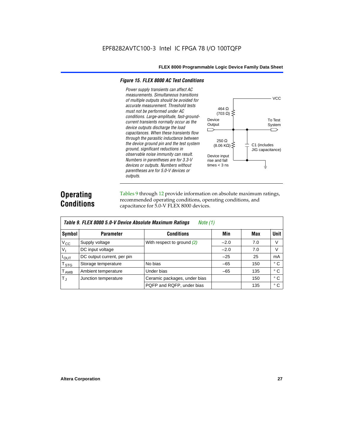#### *Figure 15. FLEX 8000 AC Test Conditions*

*Power supply transients can affect AC measurements. Simultaneous transitions of multiple outputs should be avoided for accurate measurement. Threshold tests*  464 Ω *must not be performed under AC*   $(703 \Omega)$ *conditions. Large-amplitude, fast-ground-*Device *current transients normally occur as the*  **Output** *device outputs discharge the load*   $\Box$ *capacitances. When these transients flow through the parasitic inductance between*  250 Ω *the device ground pin and the test system*   $(8.06 \text{ K}\Omega)$ C1 (includes *ground, significant reductions in*  JIG capacitance) *observable noise immunity can result.*  Device input *Numbers in parentheses are for 3.3-V*  rise and fall *devices or outputs. Numbers without*  times  $<$  3 ns *parentheses are for 5.0-V devices or outputs.*

## **Operating Conditions**

Tables 9 through 12 provide information on absolute maximum ratings, recommended operating conditions, operating conditions, and capacitance for 5.0-V FLEX 8000 devices.

|               | Table 9. FLEX 8000 5.0-V Device Absolute Maximum Ratings<br>Note (1) |                              |        |     |              |  |  |  |  |  |  |
|---------------|----------------------------------------------------------------------|------------------------------|--------|-----|--------------|--|--|--|--|--|--|
| Symbol        | <b>Parameter</b>                                                     | <b>Conditions</b>            | Min    | Max | <b>Unit</b>  |  |  |  |  |  |  |
| $V_{\rm CC}$  | Supply voltage                                                       | With respect to ground (2)   | $-2.0$ | 7.0 | V            |  |  |  |  |  |  |
| $V_{1}$       | DC input voltage                                                     |                              | $-2.0$ | 7.0 | V            |  |  |  |  |  |  |
| $I_{OUT}$     | DC output current, per pin                                           |                              | $-25$  | 25  | mA           |  |  |  |  |  |  |
| $T_{STG}$     | Storage temperature                                                  | No bias                      | $-65$  | 150 | $^{\circ}$ C |  |  |  |  |  |  |
| $T_{\rm AMB}$ | Ambient temperature                                                  | Under bias                   | $-65$  | 135 | $^{\circ}$ C |  |  |  |  |  |  |
| $T_{\rm J}$   | Junction temperature                                                 | Ceramic packages, under bias |        | 150 | $^{\circ}$ C |  |  |  |  |  |  |
|               |                                                                      | PQFP and RQFP, under bias    |        | 135 | ° C          |  |  |  |  |  |  |

**VCC** 

To Test System

⌒

╧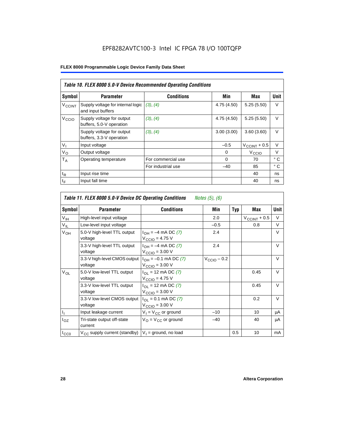### EPF8282AVTC100-3 Intel IC FPGA 78 I/O 100TQFP

#### **FLEX 8000 Programmable Logic Device Family Data Sheet**

|                          | Table 10. FLEX 8000 5.0-V Device Recommended Operating Conditions |                    |            |                          |              |  |  |  |  |  |
|--------------------------|-------------------------------------------------------------------|--------------------|------------|--------------------------|--------------|--|--|--|--|--|
| Symbol                   | <b>Parameter</b>                                                  | <b>Conditions</b>  | Min        | Max                      | Unit         |  |  |  |  |  |
| <b>V<sub>CCINT</sub></b> | Supply voltage for internal logic<br>and input buffers            | (3), (4)           | 4.75(4.50) | 5.25(5.50)               | $\vee$       |  |  |  |  |  |
| V <sub>CCIO</sub>        | Supply voltage for output<br>buffers, 5.0-V operation             | (3), (4)           | 4.75(4.50) | 5.25(5.50)               | $\vee$       |  |  |  |  |  |
|                          | Supply voltage for output<br>buffers, 3.3-V operation             | (3), (4)           | 3.00(3.00) | 3.60(3.60)               | $\vee$       |  |  |  |  |  |
| $V_{I}$                  | Input voltage                                                     |                    | $-0.5$     | $V_{\text{CCINT}} + 0.5$ | $\vee$       |  |  |  |  |  |
| $V_{\rm O}$              | Output voltage                                                    |                    | $\Omega$   | V <sub>CCIO</sub>        | $\vee$       |  |  |  |  |  |
| $T_A$                    | Operating temperature                                             | For commercial use | $\Omega$   | 70                       | $^{\circ}$ C |  |  |  |  |  |
|                          |                                                                   | For industrial use | $-40$      | 85                       | °C           |  |  |  |  |  |
| $t_{R}$                  | Input rise time                                                   |                    |            | 40                       | ns           |  |  |  |  |  |
| t <sub>F</sub>           | Input fall time                                                   |                    |            | 40                       | ns           |  |  |  |  |  |

|                 | Table 11. FLEX 8000 5.0-V Device DC Operating Conditions<br><i>Notes (5), (6)</i> |                                                                               |                         |     |                          |             |  |  |  |  |  |
|-----------------|-----------------------------------------------------------------------------------|-------------------------------------------------------------------------------|-------------------------|-----|--------------------------|-------------|--|--|--|--|--|
| Symbol          | <b>Parameter</b>                                                                  | <b>Conditions</b>                                                             | Min                     | Typ | Max                      | <b>Unit</b> |  |  |  |  |  |
| V <sub>IH</sub> | High-level input voltage                                                          |                                                                               | 2.0                     |     | $V_{\text{CCINT}} + 0.5$ | V           |  |  |  |  |  |
| $V_{IL}$        | Low-level input voltage                                                           |                                                                               | $-0.5$                  |     | 0.8                      | V           |  |  |  |  |  |
| V <sub>OH</sub> | 5.0-V high-level TTL output<br>voltage                                            | $I_{OH} = -4$ mA DC (7)<br>$V_{\text{CCIO}} = 4.75$ V                         | 2.4                     |     |                          | V           |  |  |  |  |  |
|                 | 3.3-V high-level TTL output<br>voltage                                            | $I_{OH} = -4$ mA DC (7)<br>$V_{\text{CCIO}} = 3.00 \text{ V}$                 | 2.4                     |     |                          | $\vee$      |  |  |  |  |  |
|                 | 3.3-V high-level CMOS output<br>voltage                                           | $I_{OH} = -0.1$ mA DC (7)<br>$V_{\text{CCIO}} = 3.00 \text{ V}$               | $V_{\text{CCIO}} - 0.2$ |     |                          | $\vee$      |  |  |  |  |  |
| $V_{OL}$        | 5.0-V low-level TTL output<br>voltage                                             | $I_{OL}$ = 12 mA DC (7)<br>$V_{\text{CCIO}} = 4.75 V$                         |                         |     | 0.45                     | V           |  |  |  |  |  |
|                 | 3.3-V low-level TTL output<br>voltage                                             | $I_{\Omega}$ = 12 mA DC (7)<br>$V_{\text{CCIO}} = 3.00 \text{ V}$             |                         |     | 0.45                     | $\vee$      |  |  |  |  |  |
|                 | 3.3-V low-level CMOS output<br>voltage                                            | $I_{\text{OI}} = 0.1 \text{ mA DC}$ (7)<br>$V_{\text{CCIO}} = 3.00 \text{ V}$ |                         |     | 0.2                      | $\vee$      |  |  |  |  |  |
|                 | Input leakage current                                                             | $V_1 = V_{CC}$ or ground                                                      | $-10$                   |     | 10                       | μA          |  |  |  |  |  |
| $I_{OZ}$        | Tri-state output off-state<br>current                                             | $V_O = V_{CC}$ or ground                                                      | $-40$                   |     | 40                       | μA          |  |  |  |  |  |
| $I_{CC0}$       | V <sub>CC</sub> supply current (standby)                                          | $V_1$ = ground, no load                                                       |                         | 0.5 | 10                       | mA          |  |  |  |  |  |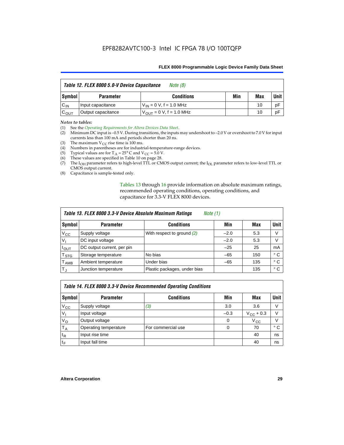| Table 12. FLEX 8000 5.0-V Device Capacitance<br>Note $(8)$ |                    |                               |     |     |        |  |
|------------------------------------------------------------|--------------------|-------------------------------|-----|-----|--------|--|
| Symbol                                                     | <b>Parameter</b>   | <b>Conditions</b>             | Min | Max | Unit I |  |
| $C_{IN}$                                                   | Input capacitance  | $V_{IN} = 0 V$ , f = 1.0 MHz  |     | 10  | pF     |  |
| $C_{\text{OUT}}$                                           | Output capacitance | $V_{OIII}$ = 0 V, f = 1.0 MHz |     | 10  | pF     |  |

#### *Notes to tables:*

(1) See the *Operating Requirements for Altera Devices Data Sheet*.

- (2) Minimum DC input is –0.5 V. During transitions, the inputs may undershoot to –2.0 V or overshoot to 7.0 V for input currents less than 100 mA and periods shorter than 20 ns.
- (3) The maximum  $V_{CC}$  rise time is 100 ms.
- (4) Numbers in parentheses are for industrial-temperature-range devices.
- (5) Typical values are for  $T_A = 25^\circ$  C and  $V_{CC} = 5.0$  V.
- (6) These values are specified in Table 10 on page 28.
- (7) The  $I_{OH}$  parameter refers to high-level TTL or CMOS output current; the  $I_{OL}$  parameter refers to low-level TTL or CMOS output current.
- (8) Capacitance is sample-tested only.

Tables 13 through 16 provide information on absolute maximum ratings, recommended operating conditions, operating conditions, and capacitance for 3.3-V FLEX 8000 devices.

|                  | Table 13. FLEX 8000 3.3-V Device Absolute Maximum Ratings<br><i>Note</i> $(1)$ |                              |        |     |              |  |  |  |
|------------------|--------------------------------------------------------------------------------|------------------------------|--------|-----|--------------|--|--|--|
| Symbol           | <b>Parameter</b>                                                               | <b>Conditions</b>            | Min    | Max | <b>Unit</b>  |  |  |  |
| $V_{\rm CC}$     | Supply voltage                                                                 | With respect to ground (2)   | $-2.0$ | 5.3 | V            |  |  |  |
| V <sub>1</sub>   | DC input voltage                                                               |                              | $-2.0$ | 5.3 | V            |  |  |  |
| $I_{\text{OUT}}$ | DC output current, per pin                                                     |                              | $-25$  | 25  | mA           |  |  |  |
| T <sub>STG</sub> | Storage temperature                                                            | No bias                      | $-65$  | 150 | $^{\circ}$ C |  |  |  |
| <b>TAMB</b>      | Ambient temperature                                                            | Under bias                   | $-65$  | 135 | $^{\circ}$ C |  |  |  |
| $T_J$            | Junction temperature                                                           | Plastic packages, under bias |        | 135 | ° C          |  |  |  |

|              | Table 14. FLEX 8000 3.3-V Device Recommended Operating Conditions |                    |          |                    |        |  |  |
|--------------|-------------------------------------------------------------------|--------------------|----------|--------------------|--------|--|--|
| Symbol       | <b>Parameter</b>                                                  | <b>Conditions</b>  | Min      | Max                | Unit I |  |  |
| $V_{\rm CC}$ | Supply voltage                                                    | (3)                | 3.0      | 3.6                | V      |  |  |
| $V_{1}$      | Input voltage                                                     |                    | $-0.3$   | $V_{\rm CC}$ + 0.3 | $\vee$ |  |  |
| $V_{\rm O}$  | Output voltage                                                    |                    | $\Omega$ | $V_{\rm CC}$       | $\vee$ |  |  |
| $T_A$        | Operating temperature                                             | For commercial use | 0        | 70                 | ۰c     |  |  |
| $t_{R}$      | Input rise time                                                   |                    |          | 40                 | ns     |  |  |
| $t_F$        | Input fall time                                                   |                    |          | 40                 | ns     |  |  |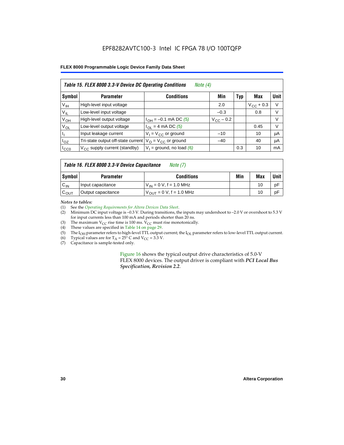#### EPF8282AVTC100-3 Intel IC FPGA 78 I/O 100TQFP

#### **FLEX 8000 Programmable Logic Device Family Data Sheet**

|                 | Table 15. FLEX 8000 3.3-V Device DC Operating Conditions<br>Note $(4)$ |                                          |                    |     |                    |             |  |  |  |
|-----------------|------------------------------------------------------------------------|------------------------------------------|--------------------|-----|--------------------|-------------|--|--|--|
| Symbol          | <b>Parameter</b>                                                       | <b>Conditions</b>                        | Min                | Typ | Max                | <b>Unit</b> |  |  |  |
| V <sub>IH</sub> | High-level input voltage                                               |                                          | 2.0                |     | $V_{\rm CC}$ + 0.3 | $\vee$      |  |  |  |
| $V_{IL}$        | Low-level input voltage                                                |                                          | $-0.3$             |     | 0.8                | V           |  |  |  |
| $V_{OH}$        | High-level output voltage                                              | $I_{OH} = -0.1$ mA DC (5)                | $V_{\rm CC}$ – 0.2 |     |                    | V           |  |  |  |
| $V_{OL}$        | Low-level output voltage                                               | $I_{OL}$ = 4 mA DC (5)                   |                    |     | 0.45               | $\vee$      |  |  |  |
| Пı              | Input leakage current                                                  | $V_1 = V_{CC}$ or ground                 | $-10$              |     | 10                 | μA          |  |  |  |
| $I_{OZ}$        | Tri-state output off-state current                                     | $V_{\text{O}} = V_{\text{CC}}$ or ground | $-40$              |     | 40                 | μA          |  |  |  |
| ICCO            | $V_{\text{CC}}$ supply current (standby)                               | $V_1$ = ground, no load (6)              |                    | 0.3 | 10                 | mA          |  |  |  |

#### *Table 16. FLEX 8000 3.3-V Device Capacitance Note (7)*

| Symbol           | <b>Parameter</b>   | <b>Conditions</b>                   | Min | Max | Unit |
|------------------|--------------------|-------------------------------------|-----|-----|------|
| $C_{IN}$         | Input capacitance  | $V_{IN} = 0 V$ , f = 1.0 MHz        |     | 10  | рF   |
| $c_{\text{OUT}}$ | Output capacitance | $V_{\text{OUT}} = 0 V, f = 1.0 MHz$ |     | 10  | рF   |

#### *Notes to tables:*

(1) See the *Operating Requirements for Altera Devices Data Sheet*.

- (2) Minimum DC input voltage is –0.3 V. During transitions, the inputs may undershoot to –2.0 V or overshoot to 5.3 V for input currents less than 100 mA and periods shorter than 20 ns.
- (3) The maximum  $V_{CC}$  rise time is 100 ms.  $V_{CC}$  must rise monotonically.<br>(4) These values are specified in Table 14 on page 29.
- These values are specified in Table 14 on page 29.
- (5) The I<sub>OH</sub> parameter refers to high-level TTL output current; the I<sub>OL</sub> parameter refers to low-level TTL output current.<br>(6) Typical values are for T<sub>A</sub> = 25° C and V<sub>CC</sub> = 3.3 V.
- (6) Typical values are for  $T_A = 25^\circ$  C and  $V_{CC} = 3.3$  V.<br>(7) Capacitance is sample-tested only.
- Capacitance is sample-tested only.

Figure 16 shows the typical output drive characteristics of 5.0-V FLEX 8000 devices. The output driver is compliant with *PCI Local Bus Specification, Revision 2.2*.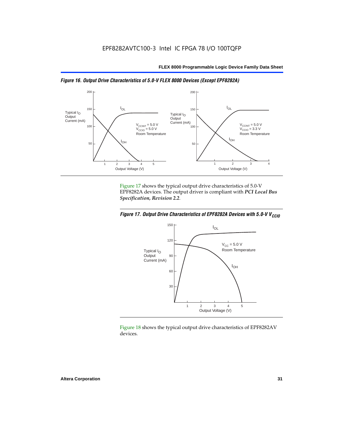



Figure 17 shows the typical output drive characteristics of 5.0-V EPF8282A devices. The output driver is compliant with *PCI Local Bus Specification, Revision 2.2*.





Figure 18 shows the typical output drive characteristics of EPF8282AV devices.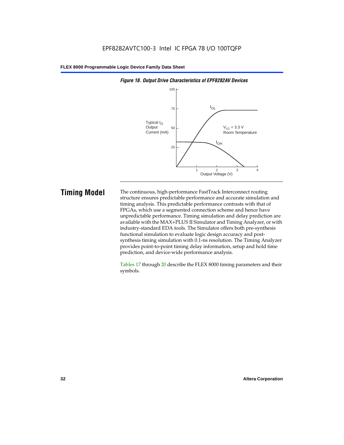

#### *Figure 18. Output Drive Characteristics of EPF8282AV Devices*

**Timing Model** The continuous, high-performance FastTrack Interconnect routing structure ensures predictable performance and accurate simulation and timing analysis. This predictable performance contrasts with that of FPGAs, which use a segmented connection scheme and hence have unpredictable performance. Timing simulation and delay prediction are available with the MAX+PLUS II Simulator and Timing Analyzer, or with industry-standard EDA tools. The Simulator offers both pre-synthesis functional simulation to evaluate logic design accuracy and postsynthesis timing simulation with 0.1-ns resolution. The Timing Analyzer provides point-to-point timing delay information, setup and hold time prediction, and device-wide performance analysis.

> Tables 17 through 20 describe the FLEX 8000 timing parameters and their symbols.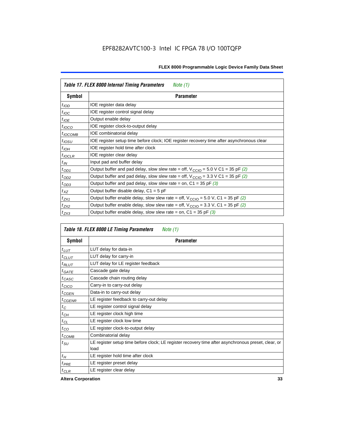| Table 17. FLEX 8000 Internal Timing Parameters<br>Note $(1)$ |                                                                                                              |  |  |  |
|--------------------------------------------------------------|--------------------------------------------------------------------------------------------------------------|--|--|--|
| Symbol                                                       | <b>Parameter</b>                                                                                             |  |  |  |
| $t_{\text{IOD}}$                                             | IOE register data delay                                                                                      |  |  |  |
| $t_{\text{IOC}}$                                             | IOE register control signal delay                                                                            |  |  |  |
| $t_{IOE}$                                                    | Output enable delay                                                                                          |  |  |  |
| $t_{IOCO}$                                                   | IOE register clock-to-output delay                                                                           |  |  |  |
| $t_{IOCOMB}$                                                 | IOE combinatorial delay                                                                                      |  |  |  |
| $t_{IOSU}$                                                   | IOE register setup time before clock; IOE register recovery time after asynchronous clear                    |  |  |  |
| $t_{IOH}$                                                    | IOE register hold time after clock                                                                           |  |  |  |
| $t_{IOCLR}$                                                  | IOE register clear delay                                                                                     |  |  |  |
| $t_{IN}$                                                     | Input pad and buffer delay                                                                                   |  |  |  |
| $t_{OD1}$                                                    | Output buffer and pad delay, slow slew rate = off, $V_{\text{CCIO}} = 5.0 \text{ V C1} = 35 \text{ pF } (2)$ |  |  |  |
| $t_{OD2}$                                                    | Output buffer and pad delay, slow slew rate = off, $V_{\text{CCIO}} = 3.3 \text{ V C1} = 35 \text{ pF}$ (2)  |  |  |  |
| $t_{OD3}$                                                    | Output buffer and pad delay, slow slew rate = on, $C1 = 35$ pF (3)                                           |  |  |  |
| $t_{XZ}$                                                     | Output buffer disable delay, $C1 = 5$ pF                                                                     |  |  |  |
| $t_{ZX1}$                                                    | Output buffer enable delay, slow slew rate = off, $V_{\text{CCIO}} = 5.0$ V, C1 = 35 pF (2)                  |  |  |  |
| $t_{ZX2}$                                                    | Output buffer enable delay, slow slew rate = off, $V_{\text{CCIO}} = 3.3$ V, C1 = 35 pF (2)                  |  |  |  |
| $t_{ZX3}$                                                    | Output buffer enable delay, slow slew rate = on, $C1 = 35$ pF (3)                                            |  |  |  |

| Table 18. FLEX 8000 LE Timing Parameters<br>Note (1) |                                                                                                             |  |  |  |
|------------------------------------------------------|-------------------------------------------------------------------------------------------------------------|--|--|--|
| Symbol                                               | <b>Parameter</b>                                                                                            |  |  |  |
| $t_{LUT}$                                            | LUT delay for data-in                                                                                       |  |  |  |
| $t_{CLUT}$                                           | LUT delay for carry-in                                                                                      |  |  |  |
| $t_{RLUT}$                                           | LUT delay for LE register feedback                                                                          |  |  |  |
| $t$ GATE                                             | Cascade gate delay                                                                                          |  |  |  |
| $t_{CASC}$                                           | Cascade chain routing delay                                                                                 |  |  |  |
| $t_{CICO}$                                           | Carry-in to carry-out delay                                                                                 |  |  |  |
| $t_{CGEN}$                                           | Data-in to carry-out delay                                                                                  |  |  |  |
| ${}^{t}$ CGENR                                       | LE register feedback to carry-out delay                                                                     |  |  |  |
| $t_C$                                                | LE register control signal delay                                                                            |  |  |  |
| $t_{CH}$                                             | LE register clock high time                                                                                 |  |  |  |
| $t_{CL}$                                             | LE register clock low time                                                                                  |  |  |  |
| $t_{CO}$                                             | LE register clock-to-output delay                                                                           |  |  |  |
| $t_{COMB}$                                           | Combinatorial delay                                                                                         |  |  |  |
| t <sub>SU</sub>                                      | LE register setup time before clock; LE register recovery time after asynchronous preset, clear, or<br>load |  |  |  |
| $t_H$                                                | LE register hold time after clock                                                                           |  |  |  |
| $t_{PRE}$                                            | LE register preset delay                                                                                    |  |  |  |
| $t_{CLR}$                                            | LE register clear delay                                                                                     |  |  |  |

**Altera Corporation 33**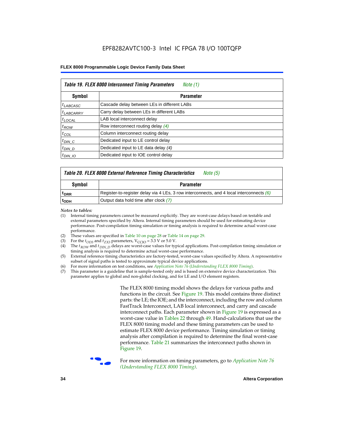| Table 19. FLEX 8000 Interconnect Timing Parameters<br>Note (1) |                                             |  |  |  |
|----------------------------------------------------------------|---------------------------------------------|--|--|--|
| <b>Symbol</b>                                                  | <b>Parameter</b>                            |  |  |  |
| <sup>t</sup> LABCASC                                           | Cascade delay between LEs in different LABs |  |  |  |
| $t_{LABCARRY}$                                                 | Carry delay between LEs in different LABs   |  |  |  |
| $t_{\text{LOCAL}}$                                             | LAB local interconnect delay                |  |  |  |
| $t_{ROW}$                                                      | Row interconnect routing delay (4)          |  |  |  |
| $t_{COL}$                                                      | Column interconnect routing delay           |  |  |  |
| $t_{DIN}$ $C$                                                  | Dedicated input to LE control delay         |  |  |  |
| $t_{DIN}$ D                                                    | Dedicated input to LE data delay (4)        |  |  |  |
| $t_{DIN}$ 10                                                   | Dedicated input to IOE control delay        |  |  |  |

#### *Table 20. FLEX 8000 External Reference Timing Characteristics Note (5)*

| Symbol<br>Parameter |                                                                                            |  |  |  |
|---------------------|--------------------------------------------------------------------------------------------|--|--|--|
| <sup>T</sup> DRR    | Register-to-register delay via 4 LEs, 3 row interconnects, and 4 local interconnects $(6)$ |  |  |  |
| <sup>L</sup> ODH    | Output data hold time after clock (7)                                                      |  |  |  |

*Notes to tables:*

- (1) Internal timing parameters cannot be measured explicitly. They are worst-case delays based on testable and external parameters specified by Altera. Internal timing parameters should be used for estimating device performance. Post-compilation timing simulation or timing analysis is required to determine actual worst-case performance.
- (2) These values are specified in Table 10 on page 28 or Table 14 on page 29.<br>(3) For the  $t_{OD3}$  and  $t_{ZX3}$  parameters,  $V_{CCIO} = 3.3$  V or 5.0 V.
- (3) For the  $t_{OD3}$  and  $t_{ZX3}$  parameters,  $V_{CCIO} = 3.3$  V or 5.0 V.<br>(4) The  $t_{ROM}$  and  $t_{DIN}$   $_D$  delays are worst-case values for type
- The *t<sub>ROW</sub>* and *t<sub>DIN\_D</sub>* delays are worst-case values for typical applications. Post-compilation timing simulation or timing analysis is required to determine actual worst-case performance.
- (5) External reference timing characteristics are factory-tested, worst-case values specified by Altera. A representative subset of signal paths is tested to approximate typical device applications.
- (6) For more information on test conditions, see *Application Note 76* (*Understanding FLEX 8000 Timing*).
- (7) This parameter is a guideline that is sample-tested only and is based on extensive device characterization. This parameter applies to global and non-global clocking, and for LE and I/O element registers.

The FLEX 8000 timing model shows the delays for various paths and functions in the circuit. See Figure 19. This model contains three distinct parts: the LE; the IOE; and the interconnect, including the row and column FastTrack Interconnect, LAB local interconnect, and carry and cascade interconnect paths. Each parameter shown in Figure 19 is expressed as a worst-case value in Tables 22 through 49. Hand-calculations that use the FLEX 8000 timing model and these timing parameters can be used to estimate FLEX 8000 device performance. Timing simulation or timing analysis after compilation is required to determine the final worst-case performance. Table 21 summarizes the interconnect paths shown in Figure 19.



f For more information on timing parameters, go to *Application Note 76 (Understanding FLEX 8000 Timing)*.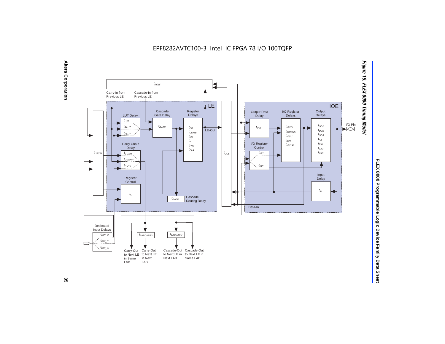EPF8282AVTC100-3 Intel IC FPGA 78 I/O 100TQFP





FLEX 8000 Programmable Logic Device Family Data Sheet **FLEX 8000 Programmable Logic Device Family Data Sheet**

ပ္တ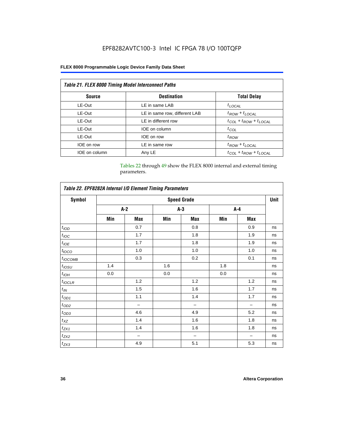### EPF8282AVTC100-3 Intel IC FPGA 78 I/O 100TQFP

#### **FLEX 8000 Programmable Logic Device Family Data Sheet**

| <b>Table 21. FLEX 8000 Timing Model Interconnect Paths</b> |                               |                                     |  |  |  |
|------------------------------------------------------------|-------------------------------|-------------------------------------|--|--|--|
| <b>Source</b>                                              | <b>Destination</b>            | <b>Total Delay</b>                  |  |  |  |
| LE-Out                                                     | LE in same LAB                | $t_{LOCAL}$                         |  |  |  |
| LE-Out                                                     | LE in same row, different LAB | $t_{ROW} + t_{LOCAL}$               |  |  |  |
| LE-Out                                                     | LE in different row           | $t_{COL}$ + $t_{ROW}$ + $t_{LOCAL}$ |  |  |  |
| LE-Out                                                     | IOE on column                 | $t_{COL}$                           |  |  |  |
| LE-Out                                                     | IOE on row                    | $t_{ROW}$                           |  |  |  |
| IOE on row                                                 | LE in same row                | $t_{ROW} + t_{LOCAL}$               |  |  |  |
| IOE on column                                              | Any LE                        | $t_{COL} + t_{ROW} + t_{LOCAL}$     |  |  |  |

Tables 22 through 49 show the FLEX 8000 internal and external timing parameters.

| Table 22. EPF8282A Internal I/O Element Timing Parameters |                    |                          |       |     |       |     |    |  |  |
|-----------------------------------------------------------|--------------------|--------------------------|-------|-----|-------|-----|----|--|--|
| <b>Symbol</b>                                             | <b>Speed Grade</b> |                          |       |     |       |     |    |  |  |
|                                                           |                    | $A-2$                    | $A-3$ |     | $A-4$ |     |    |  |  |
|                                                           | Min                | Max                      | Min   | Max | Min   | Max |    |  |  |
| t <sub>IOD</sub>                                          |                    | 0.7                      |       | 0.8 |       | 0.9 | ns |  |  |
| $t_{\text{IOC}}$                                          |                    | 1.7                      |       | 1.8 |       | 1.9 | ns |  |  |
| $t_{IOE}$                                                 |                    | 1.7                      |       | 1.8 |       | 1.9 | ns |  |  |
| $t_{IOCO}$                                                |                    | 1.0                      |       | 1.0 |       | 1.0 | ns |  |  |
| $t_{IOCOMB}$                                              |                    | 0.3                      |       | 0.2 |       | 0.1 | ns |  |  |
| $t_{IOSU}$                                                | 1.4                |                          | 1.6   |     | 1.8   |     | ns |  |  |
| $t_{IOH}$                                                 | 0.0                |                          | 0.0   |     | 0.0   |     | ns |  |  |
| $t_{IOCLR}$                                               |                    | 1.2                      |       | 1.2 |       | 1.2 | ns |  |  |
| $t_{I\!N}$                                                |                    | 1.5                      |       | 1.6 |       | 1.7 | ns |  |  |
| $t_{OD1}$                                                 |                    | 1.1                      |       | 1.4 |       | 1.7 | ns |  |  |
| $t_{OD2}$                                                 |                    | $\overline{\phantom{0}}$ |       |     |       | -   | ns |  |  |
| $t_{\mathrm{OD3}}$                                        |                    | 4.6                      |       | 4.9 |       | 5.2 | ns |  |  |
| $t_{XZ}$                                                  |                    | 1.4                      |       | 1.6 |       | 1.8 | ns |  |  |
| $t_{ZX1}$                                                 |                    | 1.4                      |       | 1.6 |       | 1.8 | ns |  |  |
| $t_{ZX2}$                                                 |                    | -                        |       |     |       |     | ns |  |  |
| $t_{ZX3}$                                                 |                    | 4.9                      |       | 5.1 |       | 5.3 | ns |  |  |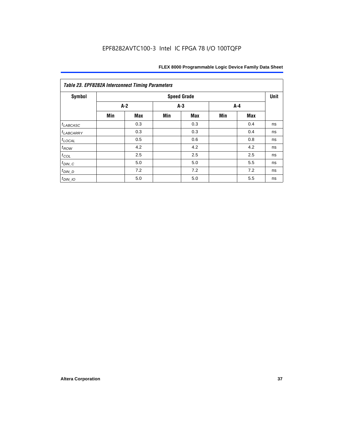| <b>Symbol</b>         |       |            |     | <b>Speed Grade</b> |       |     | Unit |
|-----------------------|-------|------------|-----|--------------------|-------|-----|------|
|                       | $A-2$ |            |     | $A-3$              | $A-4$ |     |      |
|                       | Min   | <b>Max</b> | Min | <b>Max</b>         | Min   | Max |      |
| $t_{LABCASC}$         |       | 0.3        |     | 0.3                |       | 0.4 | ns   |
| <sup>t</sup> LABCARRY |       | 0.3        |     | 0.3                |       | 0.4 | ns   |
| $t_{\text{LOCAL}}$    |       | 0.5        |     | 0.6                |       | 0.8 | ns   |
| $t_{ROW}$             |       | 4.2        |     | 4.2                |       | 4.2 | ns   |
| $t_{COL}$             |       | 2.5        |     | 2.5                |       | 2.5 | ns   |
| $t_{DIN\_C}$          |       | 5.0        |     | 5.0                |       | 5.5 | ns   |
| $t_{DIN\_D}$          |       | 7.2        |     | 7.2                |       | 7.2 | ns   |
| $t_{DIN\_IO}$         |       | 5.0        |     | 5.0                |       | 5.5 | ns   |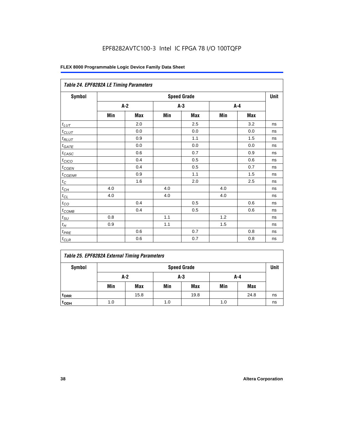### EPF8282AVTC100-3 Intel IC FPGA 78 I/O 100TQFP

| Table 24. EPF8282A LE Timing Parameters |     |       |     |                    |     |     |             |  |  |
|-----------------------------------------|-----|-------|-----|--------------------|-----|-----|-------------|--|--|
| Symbol                                  |     |       |     | <b>Speed Grade</b> |     |     | <b>Unit</b> |  |  |
|                                         |     | $A-2$ | A-3 |                    |     | A-4 |             |  |  |
|                                         | Min | Max   | Min | Max                | Min | Max |             |  |  |
| $t_{LUT}$                               |     | 2.0   |     | 2.5                |     | 3.2 | ns          |  |  |
| $t_{CLUT}$                              |     | 0.0   |     | 0.0                |     | 0.0 | ns          |  |  |
| $t_{RLUT}$                              |     | 0.9   |     | 1.1                |     | 1.5 | ns          |  |  |
| $t_{\underline{GATE}}$                  |     | 0.0   |     | 0.0                |     | 0.0 | ns          |  |  |
| $t_{CASC}$                              |     | 0.6   |     | 0.7                |     | 0.9 | ns          |  |  |
| $t_{CICO}$                              |     | 0.4   |     | 0.5                |     | 0.6 | ns          |  |  |
| $t_{\text{GEN}}$                        |     | 0.4   |     | 0.5                |     | 0.7 | ns          |  |  |
| $t_{CGENR}$                             |     | 0.9   |     | 1.1                |     | 1.5 | ns          |  |  |
| $t_C\,$                                 |     | 1.6   |     | 2.0                |     | 2.5 | ns          |  |  |
| $t_{C\underline{H}}$                    | 4.0 |       | 4.0 |                    | 4.0 |     | ns          |  |  |
| $t_{CL}$                                | 4.0 |       | 4.0 |                    | 4.0 |     | ns          |  |  |
| $t_{CO}$                                |     | 0.4   |     | 0.5                |     | 0.6 | ns          |  |  |
| $t_{COMB}$                              |     | 0.4   |     | 0.5                |     | 0.6 | ns          |  |  |
| $t_{\text{SU}}$                         | 0.8 |       | 1.1 |                    | 1.2 |     | ns          |  |  |
| $t_H$                                   | 0.9 |       | 1.1 |                    | 1.5 |     | ns          |  |  |
| $t_{PRE}$                               |     | 0.6   |     | 0.7                |     | 0.8 | ns          |  |  |
| $t_{CLR}$                               |     | 0.6   |     | 0.7                |     | 0.8 | ns          |  |  |

|  |  | <b>Table 25. EPF8282A External Timing Parameters</b> |
|--|--|------------------------------------------------------|
|  |  |                                                      |

| Symbol           |     | <b>Speed Grade</b> |     |            |     |            |    |  |  |
|------------------|-----|--------------------|-----|------------|-----|------------|----|--|--|
|                  |     | A-2<br>A-3<br>A-4  |     |            |     |            |    |  |  |
|                  | Min | Max                | Min | <b>Max</b> | Min | <b>Max</b> |    |  |  |
| <sup>t</sup> DRR |     | 15.8               |     | 19.8       |     | 24.8       | ns |  |  |
| t <sub>ODH</sub> | 1.0 |                    | 1.0 |            | 1.0 |            | ns |  |  |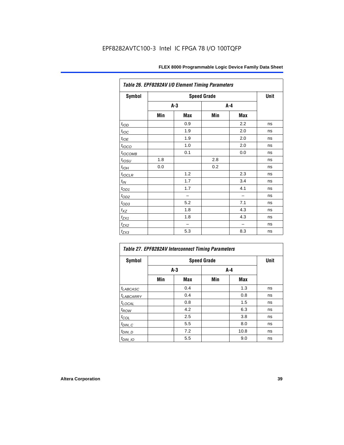| Table 26. EPF8282AV I/O Element Timing Parameters |       |             |     |     |    |  |  |  |
|---------------------------------------------------|-------|-------------|-----|-----|----|--|--|--|
| Symbol                                            |       | <b>Unit</b> |     |     |    |  |  |  |
|                                                   | $A-3$ |             | A-4 |     |    |  |  |  |
|                                                   | Min   | Max         | Min | Max |    |  |  |  |
| t <sub>IOD</sub>                                  |       | 0.9         |     | 2.2 | ns |  |  |  |
| $t_{\text{IOC}}$                                  |       | 1.9         |     | 2.0 | ns |  |  |  |
| $t_{IOE}$                                         |       | 1.9         |     | 2.0 | ns |  |  |  |
| $t_{IOCO}$                                        |       | 1.0         |     | 2.0 | ns |  |  |  |
| t <sub>IОСОМВ</sub>                               |       | 0.1         |     | 0.0 | ns |  |  |  |
| $t_{IOSU}$                                        | 1.8   |             | 2.8 |     | ns |  |  |  |
| $t_{IOH}$                                         | 0.0   |             | 0.2 |     | ns |  |  |  |
| $t_{IOCLR}$                                       |       | 1.2         |     | 2.3 | ns |  |  |  |
| $t_{\text{IN}}$                                   |       | 1.7         |     | 3.4 | ns |  |  |  |
| $t_{OD1}$                                         |       | 1.7         |     | 4.1 | ns |  |  |  |
| $t_{\text{OD2}}$                                  |       |             |     |     | ns |  |  |  |
| $t_{OD3}$                                         |       | 5.2         |     | 7.1 | ns |  |  |  |
| $t_{XZ}$                                          |       | 1.8         |     | 4.3 | ns |  |  |  |
| $t_{ZX1}$                                         |       | 1.8         |     | 4.3 | ns |  |  |  |
| $t_{ZX2}$                                         |       |             |     |     | ns |  |  |  |
| $t_{ZX3}$                                         |       | 5.3         |     | 8.3 | ns |  |  |  |

| Table 27. EPF8282AV Interconnect Timing Parameters |     |       |       |      |    |  |  |  |  |
|----------------------------------------------------|-----|-------|-------|------|----|--|--|--|--|
| <b>Symbol</b>                                      |     | Unit  |       |      |    |  |  |  |  |
|                                                    |     | $A-3$ | $A-4$ |      |    |  |  |  |  |
|                                                    | Min | Max   | Min   | Max  |    |  |  |  |  |
| $t_{LABCASC}$                                      |     | 0.4   |       | 1.3  | ns |  |  |  |  |
| t <sub>LABCARRY</sub>                              |     | 0.4   |       | 0.8  | ns |  |  |  |  |
| <b>LOCAL</b>                                       |     | 0.8   |       | 1.5  | ns |  |  |  |  |
| $t_{ROW}$                                          |     | 4.2   |       | 6.3  | ns |  |  |  |  |
| $t_{COL}$                                          |     | 2.5   |       | 3.8  | ns |  |  |  |  |
| $t_{DI\underline{N}C}$                             |     | 5.5   |       | 8.0  | ns |  |  |  |  |
| $t_{DIN\_D}$                                       |     | 7.2   |       | 10.8 | ns |  |  |  |  |
| $t_{DIN\_IO}$                                      |     | 5.5   |       | 9.0  | ns |  |  |  |  |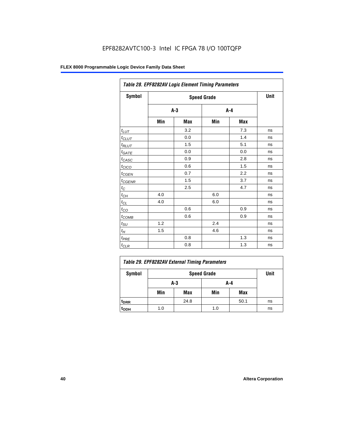| Table 28. EPF8282AV Logic Element Timing Parameters |       |      |     |         |    |  |  |  |
|-----------------------------------------------------|-------|------|-----|---------|----|--|--|--|
| Symbol                                              |       | Unit |     |         |    |  |  |  |
|                                                     | $A-3$ |      |     | $A - 4$ |    |  |  |  |
|                                                     | Min   | Max  | Min | Max     |    |  |  |  |
| $t_{LUT}$                                           |       | 3.2  |     | 7.3     | ns |  |  |  |
| $t_{CLUT}$                                          |       | 0.0  |     | 1.4     | ns |  |  |  |
| $t_{RLUT}$                                          |       | 1.5  |     | 5.1     | ns |  |  |  |
| $t_{GATE}$                                          |       | 0.0  |     | 0.0     | ns |  |  |  |
| $t_{CASC}$                                          |       | 0.9  |     | 2.8     | ns |  |  |  |
| $t_{CICO}$                                          |       | 0.6  |     | 1.5     | ns |  |  |  |
| $t_{\text{GEN}}$                                    |       | 0.7  |     | 2.2     | ns |  |  |  |
| $t_{\text{GENR}}$                                   |       | 1.5  |     | 3.7     | ns |  |  |  |
| $t_C$                                               |       | 2.5  |     | 4.7     | ns |  |  |  |
| $t_{CH}$                                            | 4.0   |      | 6.0 |         | ns |  |  |  |
| $t_{CL}$                                            | 4.0   |      | 6.0 |         | ns |  |  |  |
| $t_{CO}$                                            |       | 0.6  |     | 0.9     | ns |  |  |  |
| $t_{COMB}$                                          |       | 0.6  |     | 0.9     | ns |  |  |  |
| $t_{\text{SU}}$                                     | 1.2   |      | 2.4 |         | ns |  |  |  |
| $t_H$                                               | 1.5   |      | 4.6 |         | ns |  |  |  |
| $t_{PRE}$                                           |       | 0.8  |     | 1.3     | ns |  |  |  |
| $t_{CLR}$                                           |       | 0.8  |     | 1.3     | ns |  |  |  |

| Table 29. EPF8282AV External Timing Parameters |     |      |     |      |    |  |  |
|------------------------------------------------|-----|------|-----|------|----|--|--|
| Symbol                                         |     | Unit |     |      |    |  |  |
|                                                |     | A-3  | A-4 |      |    |  |  |
|                                                | Min | Max  | Min | Max  |    |  |  |
| <sup>t</sup> DRR                               |     | 24.8 |     | 50.1 | ns |  |  |
| t <sub>орн</sub>                               | 1.0 |      | 1.0 |      | ns |  |  |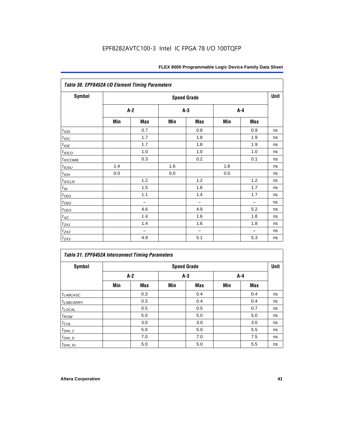| Table 30. EPF8452A I/O Element Timing Parameters |       |                          |       |                   |     |                          |    |  |  |  |
|--------------------------------------------------|-------|--------------------------|-------|-------------------|-----|--------------------------|----|--|--|--|
| <b>Symbol</b>                                    |       | <b>Speed Grade</b>       |       |                   |     |                          |    |  |  |  |
|                                                  | $A-2$ |                          | $A-3$ |                   |     | $A - 4$                  |    |  |  |  |
|                                                  | Min   | Max                      | Min   | Max               | Min | Max                      |    |  |  |  |
| t <sub>IOD</sub>                                 |       | 0.7                      |       | 0.8               |     | 0.9                      | ns |  |  |  |
| $t_{\text{IOC}}$                                 |       | 1.7                      |       | 1.8               |     | 1.9                      | ns |  |  |  |
| $t_{IOE}$                                        |       | 1.7                      |       | 1.8               |     | 1.9                      | ns |  |  |  |
| $t_{IOCO}$                                       |       | 1.0                      |       | 1.0               |     | 1.0                      | ns |  |  |  |
| $t_{IOCOMB}$                                     |       | 0.3                      |       | 0.2               |     | 0.1                      | ns |  |  |  |
| $t_{IOSU}$                                       | 1.4   |                          | 1.6   |                   | 1.8 |                          | ns |  |  |  |
| $t_{IOH}$                                        | 0.0   |                          | 0.0   |                   | 0.0 |                          | ns |  |  |  |
| $t_{IOCLR}$                                      |       | 1.2                      |       | 1.2               |     | 1.2                      | ns |  |  |  |
| $t_{IN}$                                         |       | 1.5                      |       | 1.6               |     | 1.7                      | ns |  |  |  |
| $t_{OD1}$                                        |       | 1.1                      |       | 1.4               |     | 1.7                      | ns |  |  |  |
| $t_{\rm OD2}$                                    |       | $\overline{\phantom{0}}$ |       | $\qquad \qquad -$ |     | $\overline{\phantom{0}}$ | ns |  |  |  |
| $t_{OD3}$                                        |       | 4.6                      |       | 4.9               |     | 5.2                      | ns |  |  |  |
| $t_{XZ}$                                         |       | 1.4                      |       | 1.6               |     | 1.8                      | ns |  |  |  |
| $t_{ZX1}$                                        |       | 1.4                      |       | 1.6               |     | 1.8                      | ns |  |  |  |
| $t_{ZX2}$                                        |       | $\overline{\phantom{0}}$ |       | $\qquad \qquad -$ |     | $\overline{\phantom{0}}$ | ns |  |  |  |
| $t_{ZX3}$                                        |       | 4.9                      |       | 5.1               |     | 5.3                      | ns |  |  |  |

#### *Table 31. EPF8452A Interconnect Timing Parameters*

| Symbol             |       | <b>Speed Grade</b> |       |     |     |       |    |  |  |  |
|--------------------|-------|--------------------|-------|-----|-----|-------|----|--|--|--|
|                    | $A-2$ |                    | $A-3$ |     |     | $A-4$ |    |  |  |  |
|                    | Min   | Max                | Min   | Max | Min | Max   |    |  |  |  |
| $t_{LABCASC}$      |       | 0.3                |       | 0.4 |     | 0.4   | ns |  |  |  |
| $t_{LABCARRY}$     |       | 0.3                |       | 0.4 |     | 0.4   | ns |  |  |  |
| $t_{\text{LOCAL}}$ |       | 0.5                |       | 0.5 |     | 0.7   | ns |  |  |  |
| $t_{\mathit{ROW}}$ |       | 5.0                |       | 5.0 |     | 5.0   | ns |  |  |  |
| $t_{COL}$          |       | 3.0                |       | 3.0 |     | 3.0   | ns |  |  |  |
| $t_{DIN\_C}$       |       | 5.0                |       | 5.0 |     | 5.5   | ns |  |  |  |
| $t_{DI N_D}$       |       | 7.0                |       | 7.0 |     | 7.5   | ns |  |  |  |
| $t_{DIN\_IO}$      |       | 5.0                |       | 5.0 |     | 5.5   | ns |  |  |  |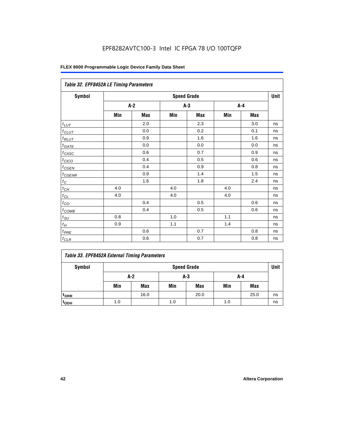### EPF8282AVTC100-3 Intel IC FPGA 78 I/O 100TQFP

#### **FLEX 8000 Programmable Logic Device Family Data Sheet**

| Table 32. EPF8452A LE Timing Parameters |     |       |       |                    |     |       |             |  |  |
|-----------------------------------------|-----|-------|-------|--------------------|-----|-------|-------------|--|--|
| Symbol                                  |     |       |       | <b>Speed Grade</b> |     |       | <b>Unit</b> |  |  |
|                                         |     | $A-2$ | $A-3$ |                    |     | $A-4$ |             |  |  |
|                                         | Min | Max   | Min   | <b>Max</b>         | Min | Max   |             |  |  |
| $t_{LUT}$                               |     | 2.0   |       | 2.3                |     | 3.0   | ns          |  |  |
| $t_{CLUT}$                              |     | 0.0   |       | 0.2                |     | 0.1   | ns          |  |  |
| $t_{RLUT}$                              |     | 0.9   |       | 1.6                |     | 1.6   | ns          |  |  |
| $t_{GATE}$                              |     | 0.0   |       | 0.0                |     | 0.0   | ns          |  |  |
| $t_{CASC}$                              |     | 0.6   |       | 0.7                |     | 0.9   | ns          |  |  |
| $t_{CICO}$                              |     | 0.4   |       | 0.5                |     | 0.6   | ns          |  |  |
| $t_{CGEN}$                              |     | 0.4   |       | 0.9                |     | 0.8   | ns          |  |  |
| $t_{CGENR}$                             |     | 0.9   |       | 1.4                |     | 1.5   | ns          |  |  |
| $t_C$                                   |     | 1.6   |       | 1.8                |     | 2.4   | ns          |  |  |
| $t_{CH}$                                | 4.0 |       | 4.0   |                    | 4.0 |       | ns          |  |  |
| $t_{CL}$                                | 4.0 |       | 4.0   |                    | 4.0 |       | ns          |  |  |
| $t_{\rm CO}$                            |     | 0.4   |       | 0.5                |     | 0.6   | ns          |  |  |
| $t$ <sub>COMB</sub>                     |     | 0.4   |       | 0.5                |     | 0.6   | ns          |  |  |
| $t_{\rm SU}$                            | 0.8 |       | 1.0   |                    | 1.1 |       | ns          |  |  |
| $t_H$                                   | 0.9 |       | 1.1   |                    | 1.4 |       | ns          |  |  |
| $t_{PRE}$                               |     | 0.6   |       | 0.7                |     | 0.8   | ns          |  |  |
| $t_{CLR}$                               |     | 0.6   |       | 0.7                |     | 0.8   | ns          |  |  |

#### *Table 33. EPF8452A External Timing Parameters*

| Symbol                      |                     | <b>Speed Grade</b> |     |            |     |            |    |  |  |
|-----------------------------|---------------------|--------------------|-----|------------|-----|------------|----|--|--|
|                             | A-2<br>$A-3$<br>A-4 |                    |     |            |     |            |    |  |  |
|                             | Min                 | Max                | Min | <b>Max</b> | Min | <b>Max</b> |    |  |  |
| <sup>t</sup> <sub>DRR</sub> |                     | 16.0               |     | 20.0       |     | 25.0       | ns |  |  |
| t <sub>ODH</sub>            | 1.0                 |                    | 1.0 |            | 1.0 |            | ns |  |  |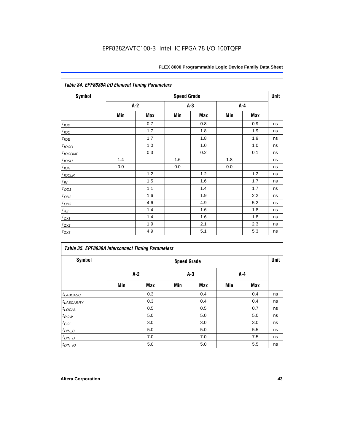| Table 34. EPF8636A I/O Element Timing Parameters |     |                    |       |     |     |            |    |  |  |
|--------------------------------------------------|-----|--------------------|-------|-----|-----|------------|----|--|--|
| Symbol                                           |     | <b>Speed Grade</b> |       |     |     |            |    |  |  |
|                                                  |     | $A-2$              | $A-3$ |     |     | A-4        |    |  |  |
|                                                  | Min | Max                | Min   | Max | Min | <b>Max</b> |    |  |  |
| t <sub>IOD</sub>                                 |     | 0.7                |       | 0.8 |     | 0.9        | ns |  |  |
| $t_{\text{IOC}}$                                 |     | 1.7                |       | 1.8 |     | 1.9        | ns |  |  |
| $t_{IOE}$                                        |     | 1.7                |       | 1.8 |     | 1.9        | ns |  |  |
| $t_{IOCO}$                                       |     | 1.0                |       | 1.0 |     | 1.0        | ns |  |  |
| $t_{IOCOMB}$                                     |     | 0.3                |       | 0.2 |     | 0.1        | ns |  |  |
| $t_{IOSU}$                                       | 1.4 |                    | 1.6   |     | 1.8 |            | ns |  |  |
| $t_{IOH}$                                        | 0.0 |                    | 0.0   |     | 0.0 |            | ns |  |  |
| $t_{IOCLR}$                                      |     | 1.2                |       | 1.2 |     | 1.2        | ns |  |  |
| $t_{I\!N}$                                       |     | 1.5                |       | 1.6 |     | 1.7        | ns |  |  |
| $t_{OD1}$                                        |     | 1.1                |       | 1.4 |     | 1.7        | ns |  |  |
| $t_{OD2}$                                        |     | 1.6                |       | 1.9 |     | 2.2        | ns |  |  |
| $t_{OD3}$                                        |     | 4.6                |       | 4.9 |     | 5.2        | ns |  |  |
| $t_{XZ}$                                         |     | 1.4                |       | 1.6 |     | 1.8        | ns |  |  |
| $t_{ZX1}$                                        |     | 1.4                |       | 1.6 |     | 1.8        | ns |  |  |
| $t_{ZX2}$                                        |     | 1.9                |       | 2.1 |     | 2.3        | ns |  |  |
| $t_{ZX3}$                                        |     | 4.9                |       | 5.1 |     | 5.3        | ns |  |  |

|                       | <b>Table 35. EPF8636A Interconnect Timing Parameters</b> |                    |     |            |     |     |    |  |  |  |  |  |
|-----------------------|----------------------------------------------------------|--------------------|-----|------------|-----|-----|----|--|--|--|--|--|
| <b>Symbol</b>         |                                                          | <b>Speed Grade</b> |     |            |     |     |    |  |  |  |  |  |
|                       |                                                          | A-2                |     | $A-3$      |     | A-4 |    |  |  |  |  |  |
|                       | Min                                                      | <b>Max</b>         | Min | <b>Max</b> | Min | Max |    |  |  |  |  |  |
| $t_{LABCASC}$         |                                                          | 0.3                |     | 0.4        |     | 0.4 | ns |  |  |  |  |  |
| <sup>t</sup> LABCARRY |                                                          | 0.3                |     | 0.4        |     | 0.4 | ns |  |  |  |  |  |
| $t_{\text{LOCAL}}$    |                                                          | 0.5                |     | 0.5        |     | 0.7 | ns |  |  |  |  |  |
| $t_{ROW}$             |                                                          | 5.0                |     | 5.0        |     | 5.0 | ns |  |  |  |  |  |
| $t_{COL}$             |                                                          | 3.0                |     | 3.0        |     | 3.0 | ns |  |  |  |  |  |
| $t_{DIN\_C}$          |                                                          | 5.0                |     | 5.0        |     | 5.5 | ns |  |  |  |  |  |
| $t_{DIN\_D}$          |                                                          | 7.0                |     | 7.0        |     | 7.5 | ns |  |  |  |  |  |
| $t_{DIN\_IO}$         |                                                          | 5.0                |     | 5.0        |     | 5.5 | ns |  |  |  |  |  |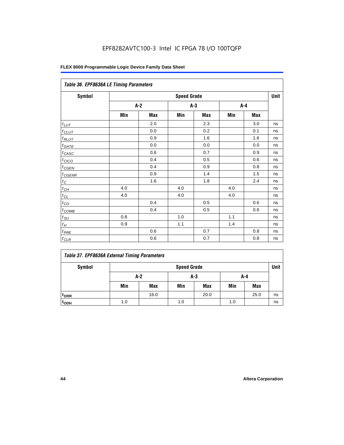|                   | Table 36. EPF8636A LE Timing Parameters |       |       |            |       |            |    |  |  |  |  |
|-------------------|-----------------------------------------|-------|-------|------------|-------|------------|----|--|--|--|--|
| Symbol            | <b>Speed Grade</b>                      |       |       |            |       |            |    |  |  |  |  |
|                   |                                         | $A-2$ | $A-3$ |            | $A-4$ |            |    |  |  |  |  |
|                   | Min                                     | Max   | Min   | <b>Max</b> | Min   | <b>Max</b> |    |  |  |  |  |
| $t_{LUT}$         |                                         | 2.0   |       | 2.3        |       | 3.0        | ns |  |  |  |  |
| $t_{CLUT}$        |                                         | 0.0   |       | 0.2        |       | 0.1        | ns |  |  |  |  |
| $t_{RLUT}$        |                                         | 0.9   |       | 1.6        |       | 1.6        | ns |  |  |  |  |
| $t_{GATE}$        |                                         | 0.0   |       | 0.0        |       | 0.0        | ns |  |  |  |  |
| $t_{CASC}$        |                                         | 0.6   |       | 0.7        |       | 0.9        | ns |  |  |  |  |
| t <sub>CICO</sub> |                                         | 0.4   |       | 0.5        |       | 0.6        | ns |  |  |  |  |
| $t_{GEN}$         |                                         | 0.4   |       | 0.9        |       | 0.8        | ns |  |  |  |  |
| $t_{CGENR}$       |                                         | 0.9   |       | 1.4        |       | 1.5        | ns |  |  |  |  |
| $t_C$             |                                         | 1.6   |       | 1.8        |       | 2.4        | ns |  |  |  |  |
| $t_{CH}$          | 4.0                                     |       | 4.0   |            | 4.0   |            | ns |  |  |  |  |
| $t_{CL}$          | 4.0                                     |       | 4.0   |            | 4.0   |            | ns |  |  |  |  |
| $t_{CO}$          |                                         | 0.4   |       | 0.5        |       | 0.6        | ns |  |  |  |  |
| $t_{COMB}$        |                                         | 0.4   |       | 0.5        |       | 0.6        | ns |  |  |  |  |
| $t_{SU}$          | 0.8                                     |       | 1.0   |            | 1.1   |            | ns |  |  |  |  |
| $t_H$             | 0.9                                     |       | 1.1   |            | 1.4   |            | ns |  |  |  |  |
| $t_{PRE}$         |                                         | 0.6   |       | 0.7        |       | 0.8        | ns |  |  |  |  |
| $t_{CLR}$         |                                         | 0.6   |       | 0.7        |       | 0.8        | ns |  |  |  |  |

#### *Table 37. EPF8636A External Timing Parameters*

| Symbol           |     | <b>Speed Grade</b>  |     |            |     |      |    |  |  |  |  |
|------------------|-----|---------------------|-----|------------|-----|------|----|--|--|--|--|
|                  |     | $A-2$<br>A-3<br>A-4 |     |            |     |      |    |  |  |  |  |
|                  | Min | <b>Max</b>          | Min | <b>Max</b> | Min | Max  |    |  |  |  |  |
| t <sub>DRR</sub> |     | 16.0                |     | 20.0       |     | 25.0 | ns |  |  |  |  |
| t <sub>ODH</sub> | 1.0 |                     | 1.0 |            | 1.0 |      | ns |  |  |  |  |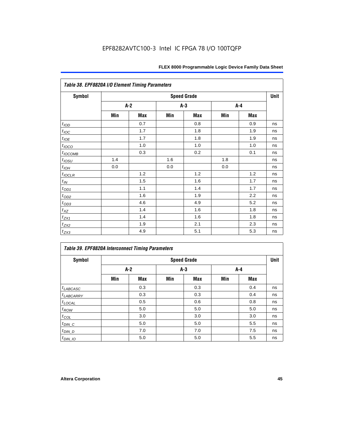|                  | Table 38. EPF8820A I/O Element Timing Parameters |     |     |                    |     |     |      |  |  |  |  |  |
|------------------|--------------------------------------------------|-----|-----|--------------------|-----|-----|------|--|--|--|--|--|
| <b>Symbol</b>    |                                                  |     |     | <b>Speed Grade</b> |     |     | Unit |  |  |  |  |  |
|                  |                                                  | A-2 |     | A-3                |     | A-4 |      |  |  |  |  |  |
|                  | Min                                              | Max | Min | <b>Max</b>         | Min | Max |      |  |  |  |  |  |
| t <sub>IOD</sub> |                                                  | 0.7 |     | 0.8                |     | 0.9 | ns   |  |  |  |  |  |
| $t_{\text{IOC}}$ |                                                  | 1.7 |     | 1.8                |     | 1.9 | ns   |  |  |  |  |  |
| $t_{IOE}$        |                                                  | 1.7 |     | 1.8                |     | 1.9 | ns   |  |  |  |  |  |
| $t_{IOCO}$       |                                                  | 1.0 |     | 1.0                |     | 1.0 | ns   |  |  |  |  |  |
| $t_{IOCOMB}$     |                                                  | 0.3 |     | 0.2                |     | 0.1 | ns   |  |  |  |  |  |
| $t_{IOSU}$       | 1.4                                              |     | 1.6 |                    | 1.8 |     | ns   |  |  |  |  |  |
| $t_{IOH}$        | 0.0                                              |     | 0.0 |                    | 0.0 |     | ns   |  |  |  |  |  |
| $t_{IOCLR}$      |                                                  | 1.2 |     | 1.2                |     | 1.2 | ns   |  |  |  |  |  |
| $t_{I\!N}$       |                                                  | 1.5 |     | 1.6                |     | 1.7 | ns   |  |  |  |  |  |
| $t_{OD1}$        |                                                  | 1.1 |     | 1.4                |     | 1.7 | ns   |  |  |  |  |  |
| $t_{\text{OD2}}$ |                                                  | 1.6 |     | 1.9                |     | 2.2 | ns   |  |  |  |  |  |
| $t_{OD3}$        |                                                  | 4.6 |     | 4.9                |     | 5.2 | ns   |  |  |  |  |  |
| $t_{\text{XZ}}$  |                                                  | 1.4 |     | 1.6                |     | 1.8 | ns   |  |  |  |  |  |
| $t_{ZX1}$        |                                                  | 1.4 |     | 1.6                |     | 1.8 | ns   |  |  |  |  |  |
| $t_{ZX2}$        |                                                  | 1.9 |     | 2.1                |     | 2.3 | ns   |  |  |  |  |  |
| $t_{ZX3}$        |                                                  | 4.9 |     | 5.1                |     | 5.3 | ns   |  |  |  |  |  |

| <b>Symbol</b>         |     | <b>Speed Grade</b> |     |            |     |       |    |  |  |  |  |
|-----------------------|-----|--------------------|-----|------------|-----|-------|----|--|--|--|--|
|                       |     | $A-2$              |     | $A-3$      |     | $A-4$ |    |  |  |  |  |
|                       | Min | Max                | Min | <b>Max</b> | Min | Max   |    |  |  |  |  |
| $t_{LABCASC}$         |     | 0.3                |     | 0.3        |     | 0.4   | ns |  |  |  |  |
| <sup>t</sup> LABCARRY |     | 0.3                |     | 0.3        |     | 0.4   | ns |  |  |  |  |
| $t_{\text{LOCAL}}$    |     | 0.5                |     | 0.6        |     | 0.8   | ns |  |  |  |  |
| $t_{ROW}$             |     | 5.0                |     | 5.0        |     | 5.0   | ns |  |  |  |  |
| $t_{COL}$             |     | 3.0                |     | 3.0        |     | 3.0   | ns |  |  |  |  |
| $t_{DIN\_C}$          |     | 5.0                |     | 5.0        |     | 5.5   | ns |  |  |  |  |
| $t_{DIN\_D}$          |     | 7.0                |     | 7.0        |     | 7.5   | ns |  |  |  |  |
| $t_{DIN\_IO}$         |     | 5.0                |     | 5.0        |     | 5.5   | ns |  |  |  |  |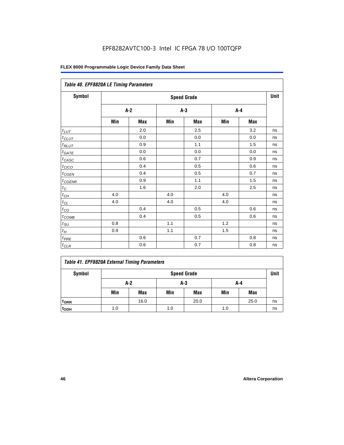| Table 40. EPF8820A LE Timing Parameters |     |       |     |                    |     |       |      |
|-----------------------------------------|-----|-------|-----|--------------------|-----|-------|------|
| Symbol                                  |     |       |     | <b>Speed Grade</b> |     |       | Unit |
|                                         |     | $A-2$ |     | $A-3$              |     | $A-4$ |      |
|                                         | Min | Max   | Min | Max                | Min | Max   |      |
| $t_{\underline{LUT}}$                   |     | 2.0   |     | 2.5                |     | 3.2   | ns   |
| $t_{CLUT}$                              |     | 0.0   |     | 0.0                |     | 0.0   | ns   |
| $t_{RLUT}$                              |     | 0.9   |     | 1.1                |     | 1.5   | ns   |
| $t_{GATE}$                              |     | 0.0   |     | 0.0                |     | 0.0   | ns   |
| $t_{CASC}$                              |     | 0.6   |     | 0.7                |     | 0.9   | ns   |
| $t_{CICO}$                              |     | 0.4   |     | 0.5                |     | 0.6   | ns   |
| $t_{CGEN}$                              |     | 0.4   |     | 0.5                |     | 0.7   | ns   |
| $t_{CGENR}$                             |     | 0.9   |     | 1.1                |     | 1.5   | ns   |
| $t_C$                                   |     | 1.6   |     | 2.0                |     | 2.5   | ns   |
| $t_{CH}$                                | 4.0 |       | 4.0 |                    | 4.0 |       | ns   |
| $t_{\text{CL}}$                         | 4.0 |       | 4.0 |                    | 4.0 |       | ns   |
| $t_{CO}$                                |     | 0.4   |     | 0.5                |     | 0.6   | ns   |
| $t_{\text{COMB}}$                       |     | 0.4   |     | 0.5                |     | 0.6   | ns   |
| $t_{\rm SU}$                            | 0.8 |       | 1.1 |                    | 1.2 |       | ns   |
| $t_H\,$                                 | 0.9 |       | 1.1 |                    | 1.5 |       | ns   |
| $t_{PRE}$                               |     | 0.6   |     | 0.7                |     | 0.8   | ns   |
| $t_{CLR}$                               |     | 0.6   |     | 0.7                |     | 0.8   | ns   |

### *Table 41. EPF8820A External Timing Parameters* Symbol **Symbol** Speed Grade **Speed Grade Unit A-2 A-3 A-4** Min | Max | Min | Max | Min | Max **tDRR** 16.0 20.0 25.0 ns **tODH** 1.0 1.0 1.0 ns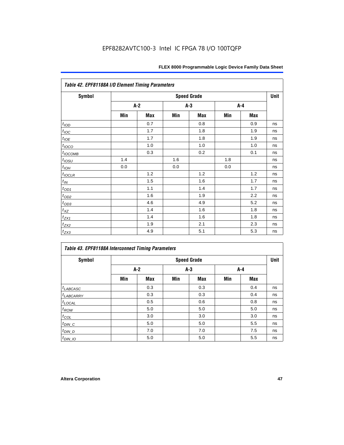| Table 42. EPF81188A I/O Element Timing Parameters |     |       |     |                    |     |       |             |  |  |  |  |
|---------------------------------------------------|-----|-------|-----|--------------------|-----|-------|-------------|--|--|--|--|
| <b>Symbol</b>                                     |     |       |     | <b>Speed Grade</b> |     |       | <b>Unit</b> |  |  |  |  |
|                                                   |     | $A-2$ |     | $A-3$              |     | $A-4$ |             |  |  |  |  |
|                                                   | Min | Max   | Min | Max                | Min | Max   |             |  |  |  |  |
| t <sub>IOD</sub>                                  |     | 0.7   |     | 0.8                |     | 0.9   | ns          |  |  |  |  |
| $t_{\underline{IOC}}$                             |     | 1.7   |     | 1.8                |     | 1.9   | ns          |  |  |  |  |
| $t_{IOE}$                                         |     | 1.7   |     | 1.8                |     | 1.9   | ns          |  |  |  |  |
| $t_{IOCO}$                                        |     | 1.0   |     | 1.0                |     | 1.0   | ns          |  |  |  |  |
| $t_{IOCOMB}$                                      |     | 0.3   |     | 0.2                |     | 0.1   | ns          |  |  |  |  |
| $t_{IOSU}$                                        | 1.4 |       | 1.6 |                    | 1.8 |       | ns          |  |  |  |  |
| $t_{IOL}$                                         | 0.0 |       | 0.0 |                    | 0.0 |       | ns          |  |  |  |  |
| $t_{IOCLR}$                                       |     | 1.2   |     | 1.2                |     | 1.2   | ns          |  |  |  |  |
| $t_{I\!N}$                                        |     | 1.5   |     | 1.6                |     | 1.7   | ns          |  |  |  |  |
| $t_{OD1}$                                         |     | 1.1   |     | 1.4                |     | 1.7   | ns          |  |  |  |  |
| $t_{OD2}$                                         |     | 1.6   |     | 1.9                |     | 2.2   | ns          |  |  |  |  |
| $t_{OD3}$                                         |     | 4.6   |     | 4.9                |     | 5.2   | ns          |  |  |  |  |
| $t_{X\!Z}$                                        |     | 1.4   |     | 1.6                |     | 1.8   | ns          |  |  |  |  |
| $t_{ZX1}$                                         |     | 1.4   |     | 1.6                |     | 1.8   | ns          |  |  |  |  |
| $t_{ZX2}$                                         |     | 1.9   |     | 2.1                |     | 2.3   | ns          |  |  |  |  |
| $t_{ZX3}$                                         |     | 4.9   |     | 5.1                |     | 5.3   | ns          |  |  |  |  |

|                    | <b>Table 43. EPF81188A Interconnect Timing Parameters</b> |     |       |                    |     |            |      |  |  |  |  |  |
|--------------------|-----------------------------------------------------------|-----|-------|--------------------|-----|------------|------|--|--|--|--|--|
| Symbol             |                                                           |     |       | <b>Speed Grade</b> |     |            | Unit |  |  |  |  |  |
|                    | $A-2$                                                     |     | $A-3$ |                    | A-4 |            |      |  |  |  |  |  |
|                    | Min                                                       | Max | Min   | <b>Max</b>         | Min | <b>Max</b> |      |  |  |  |  |  |
| $t_{LABCASC}$      |                                                           | 0.3 |       | 0.3                |     | 0.4        | ns   |  |  |  |  |  |
| $t_{LABCARY}$      |                                                           | 0.3 |       | 0.3                |     | 0.4        | ns   |  |  |  |  |  |
| $t_{\text{LOCAL}}$ |                                                           | 0.5 |       | 0.6                |     | 0.8        | ns   |  |  |  |  |  |
| $t_{ROW}$          |                                                           | 5.0 |       | 5.0                |     | 5.0        | ns   |  |  |  |  |  |
| $t_{COL}$          |                                                           | 3.0 |       | 3.0                |     | 3.0        | ns   |  |  |  |  |  |
| $t_{DIN\_C}$       |                                                           | 5.0 |       | 5.0                |     | 5.5        | ns   |  |  |  |  |  |
| $t_{DIN\_D}$       |                                                           | 7.0 |       | 7.0                |     | 7.5        | ns   |  |  |  |  |  |
| $t_{DIN}$ 10       |                                                           | 5.0 |       | 5.0                |     | 5.5        | ns   |  |  |  |  |  |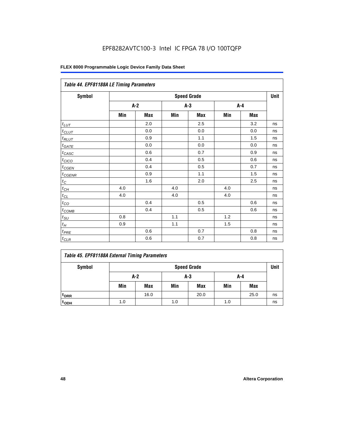| Table 44. EPF81188A LE Timing Parameters |     |                    |       |       |         |     |    |  |  |  |
|------------------------------------------|-----|--------------------|-------|-------|---------|-----|----|--|--|--|
| <b>Symbol</b>                            |     | <b>Speed Grade</b> |       |       |         |     |    |  |  |  |
|                                          |     | $A-2$              |       | $A-3$ | $A - 4$ |     |    |  |  |  |
|                                          | Min | Max                | Min   | Max   | Min     | Max |    |  |  |  |
| $t_{LUT}$                                |     | 2.0                |       | 2.5   |         | 3.2 | ns |  |  |  |
| $t_{CLUT}$                               |     | 0.0                |       | 0.0   |         | 0.0 | ns |  |  |  |
| $t_{RLUT}$                               |     | 0.9                |       | 1.1   |         | 1.5 | ns |  |  |  |
| $t_{GATE}$                               |     | 0.0                |       | 0.0   |         | 0.0 | ns |  |  |  |
| $t_{CASC}$                               |     | 0.6                |       | 0.7   |         | 0.9 | ns |  |  |  |
| $t_{CICO}$                               |     | 0.4                |       | 0.5   |         | 0.6 | ns |  |  |  |
| $t_{GEN}$                                |     | 0.4                |       | 0.5   |         | 0.7 | ns |  |  |  |
| $t_{CGENR}$                              |     | 0.9                |       | 1.1   |         | 1.5 | ns |  |  |  |
| $t_C$                                    |     | 1.6                |       | 2.0   |         | 2.5 | ns |  |  |  |
| $t_{CH}$                                 | 4.0 |                    | 4.0   |       | 4.0     |     | ns |  |  |  |
| $t_{CL}$                                 | 4.0 |                    | 4.0   |       | 4.0     |     | ns |  |  |  |
| $t_{CO}$                                 |     | 0.4                |       | 0.5   |         | 0.6 | ns |  |  |  |
| $t_{\text{COMB}}$                        |     | 0.4                |       | 0.5   |         | 0.6 | ns |  |  |  |
| $t_{SU}$                                 | 0.8 |                    | 1.1   |       | 1.2     |     | ns |  |  |  |
| $t_H$                                    | 0.9 |                    | $1.1$ |       | 1.5     |     | ns |  |  |  |
| $t_{PRE}$                                |     | 0.6                |       | 0.7   |         | 0.8 | ns |  |  |  |
| $t_{CLR}$                                |     | 0.6                |       | 0.7   |         | 0.8 | ns |  |  |  |

|  |  |  |  | Table 45. EPF81188A External Timing Parameters |
|--|--|--|--|------------------------------------------------|
|--|--|--|--|------------------------------------------------|

| Symbol           | <b>Speed Grade</b> |                     |     |            |     |            |    |  |  |
|------------------|--------------------|---------------------|-----|------------|-----|------------|----|--|--|
|                  |                    | $A-2$<br>A-3<br>A-4 |     |            |     |            |    |  |  |
|                  | Min                | <b>Max</b>          | Min | <b>Max</b> | Min | <b>Max</b> |    |  |  |
| t <sub>DRR</sub> |                    | 16.0                |     | 20.0       |     | 25.0       | ns |  |  |
| t <sub>ODH</sub> | 1.0                |                     | 1.0 |            | 1.0 |            | ns |  |  |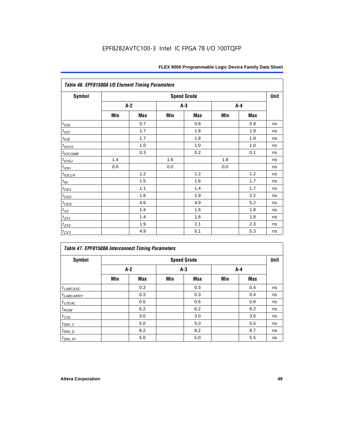| Table 46. EPF81500A I/O Element Timing Parameters |                    |       |     |       |     |     | Unit |  |  |
|---------------------------------------------------|--------------------|-------|-----|-------|-----|-----|------|--|--|
| Symbol                                            | <b>Speed Grade</b> |       |     |       |     |     |      |  |  |
|                                                   |                    | $A-2$ |     | $A-3$ |     | A-4 |      |  |  |
|                                                   | Min                | Max   | Min | Max   | Min | Max |      |  |  |
| t <sub>IOD</sub>                                  |                    | 0.7   |     | 0.8   |     | 0.9 | ns   |  |  |
| $t_{\text{IOC}}$                                  |                    | 1.7   |     | 1.8   |     | 1.9 | ns   |  |  |
| $t_{IOE}$                                         |                    | 1.7   |     | 1.8   |     | 1.9 | ns   |  |  |
| $t_{IOCO}$                                        |                    | 1.0   |     | 1.0   |     | 1.0 | ns   |  |  |
| $t_{IOCOMB}$                                      |                    | 0.3   |     | 0.2   |     | 0.1 | ns   |  |  |
| $t_{IOSU}$                                        | 1.4                |       | 1.6 |       | 1.8 |     | ns   |  |  |
| $t_{IOH}$                                         | 0.0                |       | 0.0 |       | 0.0 |     | ns   |  |  |
| $t_{IOCLR}$                                       |                    | 1.2   |     | 1.2   |     | 1.2 | ns   |  |  |
| $t_{I\!N}$                                        |                    | 1.5   |     | 1.6   |     | 1.7 | ns   |  |  |
| $t_{OD1}$                                         |                    | 1.1   |     | 1.4   |     | 1.7 | ns   |  |  |
| $t_{OD2}$                                         |                    | 1.6   |     | 1.9   |     | 2.2 | ns   |  |  |
| $t_{OD3}$                                         |                    | 4.6   |     | 4.9   |     | 5.2 | ns   |  |  |
| $t_{\underline{XZ}}$                              |                    | 1.4   |     | 1.6   |     | 1.8 | ns   |  |  |
| $t_{ZX1}$                                         |                    | 1.4   |     | 1.6   |     | 1.8 | ns   |  |  |
| $t_{ZX2}$                                         |                    | 1.9   |     | 2.1   |     | 2.3 | ns   |  |  |
| $t_{ZX3}$                                         |                    | 4.9   |     | 5.1   |     | 5.3 | ns   |  |  |

| <b>Table 47. EPF81500A Interconnect Timing Parameters</b><br><b>Symbol</b> |       |     |       | <b>Speed Grade</b> |       |     | Unit |
|----------------------------------------------------------------------------|-------|-----|-------|--------------------|-------|-----|------|
|                                                                            | $A-2$ |     | $A-3$ |                    | $A-4$ |     |      |
|                                                                            | Min   | Max | Min   | <b>Max</b>         | Min   | Max |      |
| $t_{LABCASC}$                                                              |       | 0.3 |       | 0.3                |       | 0.4 | ns   |
| <sup>t</sup> LABCARRY                                                      |       | 0.3 |       | 0.3                |       | 0.4 | ns   |
| $t_{\text{LOCAL}}$                                                         |       | 0.5 |       | 0.6                |       | 0.8 | ns   |
| $t_{ROW}$                                                                  |       | 6.2 |       | 6.2                |       | 6.2 | ns   |
| $t_{COL}$                                                                  |       | 3.0 |       | 3.0                |       | 3.0 | ns   |
| $t_{DIN\_C}$                                                               |       | 5.0 |       | 5.0                |       | 5.5 | ns   |
| $t_{DIN\_D}$                                                               |       | 8.2 |       | 8.2                |       | 8.7 | ns   |
| $t_{DIN_1O}$                                                               |       | 5.0 |       | 5.0                |       | 5.5 | ns   |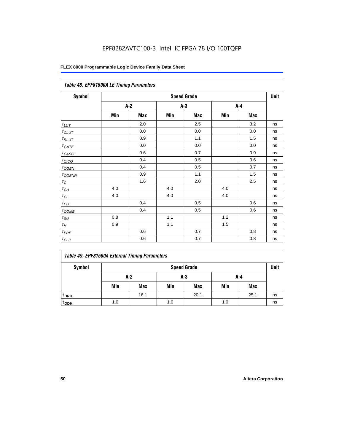| Table 48. EPF81500A LE Timing Parameters |     |            |     |                    |     |            |      |  |
|------------------------------------------|-----|------------|-----|--------------------|-----|------------|------|--|
| Symbol                                   |     |            |     | <b>Speed Grade</b> |     |            | Unit |  |
|                                          |     | $A-2$      | A-3 |                    | A-4 |            |      |  |
|                                          | Min | <b>Max</b> | Min | <b>Max</b>         | Min | <b>Max</b> |      |  |
| $t_{L\underline{UT}}$                    |     | 2.0        |     | 2.5                |     | 3.2        | ns   |  |
| $t_{CLUT}$                               |     | 0.0        |     | 0.0                |     | 0.0        | ns   |  |
| $t_{RLUT}$                               |     | 0.9        |     | 1.1                |     | 1.5        | ns   |  |
| $t_{\underline{GATE}}$                   |     | 0.0        |     | 0.0                |     | 0.0        | ns   |  |
| $t_{CASC}$                               |     | 0.6        |     | 0.7                |     | 0.9        | ns   |  |
| $t_{CICO}$                               |     | 0.4        |     | 0.5                |     | 0.6        | ns   |  |
| $t_{CGEN}$                               |     | 0.4        |     | 0.5                |     | 0.7        | ns   |  |
| $t_{CGENR}$                              |     | 0.9        |     | 1.1                |     | 1.5        | ns   |  |
| $t_C\,$                                  |     | 1.6        |     | 2.0                |     | 2.5        | ns   |  |
| $t_{\mathit{CH}}$                        | 4.0 |            | 4.0 |                    | 4.0 |            | ns   |  |
| $t_{CL}$                                 | 4.0 |            | 4.0 |                    | 4.0 |            | ns   |  |
| $t_{CO}$                                 |     | 0.4        |     | 0.5                |     | 0.6        | ns   |  |
| $t_{COMB}$                               |     | 0.4        |     | 0.5                |     | 0.6        | ns   |  |
| $t_{\text{SU}}$                          | 0.8 |            | 1.1 |                    | 1.2 |            | ns   |  |
| $t_H\,$                                  | 0.9 |            | 1.1 |                    | 1.5 |            | ns   |  |
| $t_{PRE}$                                |     | 0.6        |     | 0.7                |     | 0.8        | ns   |  |
| $t_{CLR}$                                |     | 0.6        |     | 0.7                |     | 0.8        | ns   |  |

| Symbol             | <b>Speed Grade</b> |      |     |            |     |            |    |  |  |
|--------------------|--------------------|------|-----|------------|-----|------------|----|--|--|
|                    | A-2                |      | A-3 |            | A-4 |            |    |  |  |
|                    | Min                | Max  | Min | <b>Max</b> | Min | <b>Max</b> |    |  |  |
| t <sub>DRR</sub>   |                    | 16.1 |     | 20.1       |     | 25.1       | ns |  |  |
| $t$ <sub>ODH</sub> | 1.0                |      | 1.0 |            | 1.0 |            | ns |  |  |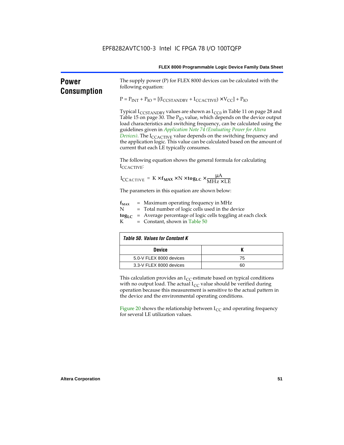| <b>Power</b><br><b>Consumption</b> | The supply power (P) for FLEX 8000 devices can be calculated with the<br>following equation:                                                                                                                                                                                                                                                                                                                                                                                                                                                            |    |  |  |  |  |  |
|------------------------------------|---------------------------------------------------------------------------------------------------------------------------------------------------------------------------------------------------------------------------------------------------------------------------------------------------------------------------------------------------------------------------------------------------------------------------------------------------------------------------------------------------------------------------------------------------------|----|--|--|--|--|--|
|                                    | $P = P_{INT} + P_{IO} = [(I_{CCSTANDBY} + I_{CCACTIVE}) \times V_{CC}] + P_{IO}$                                                                                                                                                                                                                                                                                                                                                                                                                                                                        |    |  |  |  |  |  |
|                                    | Typical $I_{\text{CCSTANDBY}}$ values are shown as $I_{\text{CC0}}$ in Table 11 on page 28 and<br>Table 15 on page 30. The P <sub>IO</sub> value, which depends on the device output<br>load characteristics and switching frequency, can be calculated using the<br>guidelines given in Application Note 74 (Evaluating Power for Altera<br>Devices). The I <sub>CCACTIVE</sub> value depends on the switching frequency and<br>the application logic. This value can be calculated based on the amount of<br>current that each LE typically consumes. |    |  |  |  |  |  |
|                                    | The following equation shows the general formula for calculating<br>ICCACTIVE:                                                                                                                                                                                                                                                                                                                                                                                                                                                                          |    |  |  |  |  |  |
|                                    | $I_{\text{CCACTIVE}} = K \times f_{\text{MAX}} \times N \times \text{togLC} \times \frac{\mu A}{\text{MHz} \times \text{LE}}$                                                                                                                                                                                                                                                                                                                                                                                                                           |    |  |  |  |  |  |
|                                    | The parameters in this equation are shown below:                                                                                                                                                                                                                                                                                                                                                                                                                                                                                                        |    |  |  |  |  |  |
|                                    | $=$ Maximum operating frequency in MHz<br>$f_{MAX}$<br>N<br>= Total number of logic cells used in the device<br>= Average percentage of logic cells toggling at each clock<br>$\log_{LC}$<br>$=$ Constant, shown in Table 50<br>К                                                                                                                                                                                                                                                                                                                       |    |  |  |  |  |  |
|                                    | <b>Table 50. Values for Constant K</b>                                                                                                                                                                                                                                                                                                                                                                                                                                                                                                                  |    |  |  |  |  |  |
|                                    | <b>Device</b>                                                                                                                                                                                                                                                                                                                                                                                                                                                                                                                                           | K  |  |  |  |  |  |
|                                    | 5.0-V FLEX 8000 devices                                                                                                                                                                                                                                                                                                                                                                                                                                                                                                                                 | 75 |  |  |  |  |  |
|                                    | 3.3-V FLEX 8000 devices                                                                                                                                                                                                                                                                                                                                                                                                                                                                                                                                 | 60 |  |  |  |  |  |
|                                    | This calculation provides an $I_{CC}$ estimate based on typical conditions<br>with no output load. The actual $I_{CC}$ value should be verified during<br>operation because this measurement is sensitive to the actual pattern in<br>the device and the environmental operating conditions.                                                                                                                                                                                                                                                            |    |  |  |  |  |  |
|                                    | Figure 20 shows the relationship between $I_{CC}$ and operating frequency<br>for several LE utilization values.                                                                                                                                                                                                                                                                                                                                                                                                                                         |    |  |  |  |  |  |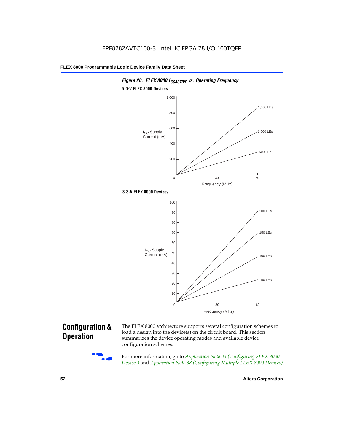

### **Configuration & Operation**

The FLEX 8000 architecture supports several configuration schemes to load a design into the device(s) on the circuit board. This section summarizes the device operating modes and available device configuration schemes.

For more information, go to *Application Note 33 (Configuring FLEX 8000 Devices)* and *Application Note 38 (Configuring Multiple FLEX 8000 Devices)*.

**52 Altera Corporation**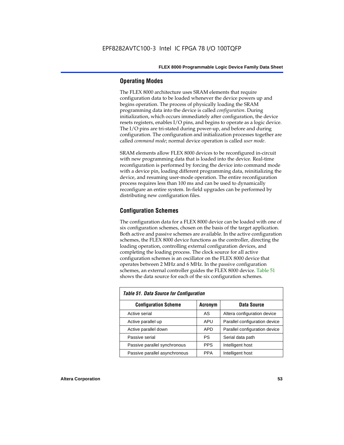#### **Operating Modes**

The FLEX 8000 architecture uses SRAM elements that require configuration data to be loaded whenever the device powers up and begins operation. The process of physically loading the SRAM programming data into the device is called *configuration*. During initialization, which occurs immediately after configuration, the device resets registers, enables I/O pins, and begins to operate as a logic device. The I/O pins are tri-stated during power-up, and before and during configuration. The configuration and initialization processes together are called *command mode*; normal device operation is called *user mode*.

SRAM elements allow FLEX 8000 devices to be reconfigured in-circuit with new programming data that is loaded into the device. Real-time reconfiguration is performed by forcing the device into command mode with a device pin, loading different programming data, reinitializing the device, and resuming user-mode operation. The entire reconfiguration process requires less than 100 ms and can be used to dynamically reconfigure an entire system. In-field upgrades can be performed by distributing new configuration files.

#### **Configuration Schemes**

The configuration data for a FLEX 8000 device can be loaded with one of six configuration schemes, chosen on the basis of the target application. Both active and passive schemes are available. In the active configuration schemes, the FLEX 8000 device functions as the controller, directing the loading operation, controlling external configuration devices, and completing the loading process. The clock source for all active configuration schemes is an oscillator on the FLEX 8000 device that operates between 2 MHz and 6 MHz. In the passive configuration schemes, an external controller guides the FLEX 8000 device. Table 51 shows the data source for each of the six configuration schemes.

| <b>Table 51. Data Source for Configuration</b> |                |                               |  |  |  |  |  |  |
|------------------------------------------------|----------------|-------------------------------|--|--|--|--|--|--|
| <b>Configuration Scheme</b>                    | <b>Acronym</b> | Data Source                   |  |  |  |  |  |  |
| Active serial                                  | AS             | Altera configuration device   |  |  |  |  |  |  |
| Active parallel up                             | <b>APU</b>     | Parallel configuration device |  |  |  |  |  |  |
| Active parallel down                           | <b>APD</b>     | Parallel configuration device |  |  |  |  |  |  |
| Passive serial                                 | PS             | Serial data path              |  |  |  |  |  |  |
| Passive parallel synchronous                   | <b>PPS</b>     | Intelligent host              |  |  |  |  |  |  |
| Passive parallel asynchronous                  | <b>PPA</b>     | Intelligent host              |  |  |  |  |  |  |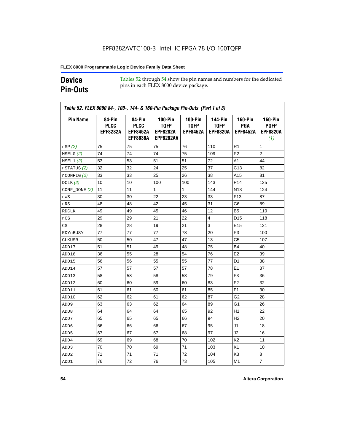### **Device Pin-Outs**

Tables 52 through 54 show the pin names and numbers for the dedicated pins in each FLEX 8000 device package.

| <b>Pin Name</b>  | 84-Pin<br><b>PLCC</b><br><b>EPF8282A</b> | 84-Pin<br><b>PLCC</b><br><b>EPF8452A</b><br><b>EPF8636A</b> | <b>100-Pin</b><br><b>TQFP</b><br><b>EPF8282A</b><br><b>EPF8282AV</b> | <b>100-Pin</b><br><b>TQFP</b><br><b>EPF8452A</b> | 144-Pin<br><b>TQFP</b><br><b>EPF8820A</b> | <b>160-Pin</b><br>PGA<br><b>EPF8452A</b> | <b>160-Pin</b><br><b>PQFP</b><br><b>EPF8820A</b><br>(1) |
|------------------|------------------------------------------|-------------------------------------------------------------|----------------------------------------------------------------------|--------------------------------------------------|-------------------------------------------|------------------------------------------|---------------------------------------------------------|
| nSP(2)           | 75                                       | 75                                                          | 75                                                                   | 76                                               | 110                                       | R1                                       | 1                                                       |
| MSELO(2)         | 74                                       | 74                                                          | 74                                                                   | 75                                               | 109                                       | P <sub>2</sub>                           | $\overline{2}$                                          |
| MSEL1(2)         | 53                                       | 53                                                          | 51                                                                   | 51                                               | 72                                        | A1                                       | 44                                                      |
| nSTATUS (2)      | 32                                       | 32                                                          | 24                                                                   | 25                                               | 37                                        | C <sub>13</sub>                          | 82                                                      |
| $n$ CONFIG $(2)$ | 33                                       | 33                                                          | 25                                                                   | 26                                               | 38                                        | A15                                      | 81                                                      |
| DCLK $(2)$       | 10                                       | 10                                                          | 100                                                                  | 100                                              | 143                                       | P <sub>14</sub>                          | 125                                                     |
| $CONF\_DONE(2)$  | 11                                       | 11                                                          | $\mathbf{1}$                                                         | $\mathbf{1}$                                     | 144                                       | N <sub>13</sub>                          | 124                                                     |
| nWS              | 30                                       | 30                                                          | 22                                                                   | 23                                               | 33                                        | F <sub>13</sub>                          | 87                                                      |
| nRS              | 48                                       | 48                                                          | 42                                                                   | 45                                               | 31                                        | C6                                       | 89                                                      |
| <b>RDCLK</b>     | 49                                       | 49                                                          | 45                                                                   | 46                                               | 12                                        | B <sub>5</sub>                           | 110                                                     |
| nCS              | 29                                       | 29                                                          | 21                                                                   | 22                                               | 4                                         | D <sub>15</sub>                          | 118                                                     |
| CS               | 28                                       | 28                                                          | 19                                                                   | 21                                               | 3                                         | E <sub>15</sub>                          | 121                                                     |
| RDYnBUSY         | 77                                       | 77                                                          | 77                                                                   | 78                                               | 20                                        | P3                                       | 100                                                     |
| CLKUSR           | 50                                       | 50                                                          | 47                                                                   | 47                                               | 13                                        | C <sub>5</sub>                           | 107                                                     |
| ADD17            | 51                                       | 51                                                          | 49                                                                   | 48                                               | 75                                        | <b>B4</b>                                | 40                                                      |
| ADD16            | 36                                       | 55                                                          | 28                                                                   | 54                                               | 76                                        | E <sub>2</sub>                           | 39                                                      |
| ADD15            | 56                                       | 56                                                          | 55                                                                   | 55                                               | 77                                        | D <sub>1</sub>                           | 38                                                      |
| ADD14            | 57                                       | 57                                                          | 57                                                                   | 57                                               | 78                                        | E <sub>1</sub>                           | 37                                                      |
| ADD13            | 58                                       | 58                                                          | 58                                                                   | 58                                               | 79                                        | F <sub>3</sub>                           | 36                                                      |
| ADD12            | 60                                       | 60                                                          | 59                                                                   | 60                                               | 83                                        | F <sub>2</sub>                           | 32                                                      |
| ADD11            | 61                                       | 61                                                          | 60                                                                   | 61                                               | 85                                        | F <sub>1</sub>                           | 30                                                      |
| ADD10            | 62                                       | 62                                                          | 61                                                                   | 62                                               | 87                                        | G2                                       | 28                                                      |
| ADD <sub>9</sub> | 63                                       | 63                                                          | 62                                                                   | 64                                               | 89                                        | G1                                       | 26                                                      |
| ADD <sub>8</sub> | 64                                       | 64                                                          | 64                                                                   | 65                                               | 92                                        | H1                                       | 22                                                      |
| ADD7             | 65                                       | 65                                                          | 65                                                                   | 66                                               | 94                                        | H <sub>2</sub>                           | 20                                                      |
| ADD6             | 66                                       | 66                                                          | 66                                                                   | 67                                               | 95                                        | J1                                       | 18                                                      |
| ADD <sub>5</sub> | 67                                       | 67                                                          | 67                                                                   | 68                                               | 97                                        | J2                                       | 16                                                      |
| ADD4             | 69                                       | 69                                                          | 68                                                                   | 70                                               | 102                                       | K <sub>2</sub>                           | 11                                                      |
| ADD3             | 70                                       | 70                                                          | 69                                                                   | 71                                               | 103                                       | K <sub>1</sub>                           | 10                                                      |
| ADD <sub>2</sub> | 71                                       | 71                                                          | 71                                                                   | 72                                               | 104                                       | K3                                       | 8                                                       |
| ADD1             | 76                                       | 72                                                          | 76                                                                   | 73                                               | 105                                       | M1                                       | $\overline{7}$                                          |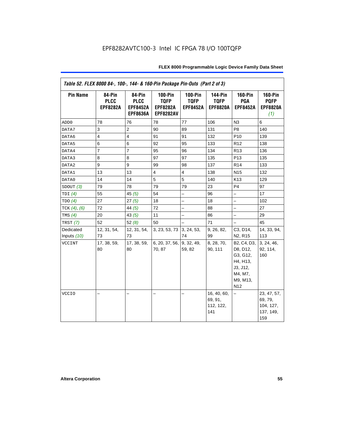| Table 52. FLEX 8000 84-, 100-, 144- & 160-Pin Package Pin-Outs (Part 2 of 3) |                                          |                                                             |                                                                      |                                                  |                                                  |                                                                                                       |                                                         |  |
|------------------------------------------------------------------------------|------------------------------------------|-------------------------------------------------------------|----------------------------------------------------------------------|--------------------------------------------------|--------------------------------------------------|-------------------------------------------------------------------------------------------------------|---------------------------------------------------------|--|
| <b>Pin Name</b>                                                              | 84-Pin<br><b>PLCC</b><br><b>EPF8282A</b> | 84-Pin<br><b>PLCC</b><br><b>EPF8452A</b><br><b>EPF8636A</b> | <b>100-Pin</b><br><b>TQFP</b><br><b>EPF8282A</b><br><b>EPF8282AV</b> | <b>100-Pin</b><br><b>TQFP</b><br><b>EPF8452A</b> | <b>144-Pin</b><br><b>TQFP</b><br><b>EPF8820A</b> | <b>160-Pin</b><br>PGA<br><b>EPF8452A</b>                                                              | <b>160-Pin</b><br><b>PQFP</b><br><b>EPF8820A</b><br>(1) |  |
| ADD <sub>0</sub>                                                             | 78                                       | 76                                                          | 78                                                                   | 77                                               | 106                                              | N <sub>3</sub>                                                                                        | 6                                                       |  |
| DATA7                                                                        | 3                                        | 2                                                           | 90                                                                   | 89                                               | 131                                              | P <sub>8</sub>                                                                                        | 140                                                     |  |
| DATA6                                                                        | $\overline{4}$                           | $\overline{4}$                                              | 91                                                                   | 91                                               | 132                                              | P <sub>10</sub>                                                                                       | 139                                                     |  |
| DATA5                                                                        | 6                                        | 6                                                           | 92                                                                   | 95                                               | 133                                              | R <sub>12</sub>                                                                                       | 138                                                     |  |
| DATA4                                                                        | $\overline{7}$                           | $\overline{7}$                                              | 95                                                                   | 96                                               | 134                                              | R <sub>13</sub>                                                                                       | 136                                                     |  |
| DATA3                                                                        | 8                                        | 8                                                           | 97                                                                   | 97                                               | 135                                              | P <sub>13</sub>                                                                                       | 135                                                     |  |
| DATA2                                                                        | 9                                        | 9                                                           | 99                                                                   | 98                                               | 137                                              | R <sub>14</sub>                                                                                       | 133                                                     |  |
| DATA1                                                                        | 13                                       | 13                                                          | $\overline{\mathbf{4}}$                                              | $\overline{\mathbf{4}}$                          | 138                                              | N <sub>15</sub>                                                                                       | 132                                                     |  |
| DATA0                                                                        | 14                                       | 14                                                          | 5                                                                    | 5                                                | 140                                              | K <sub>13</sub>                                                                                       | 129                                                     |  |
| SDOUT(3)                                                                     | 79                                       | 78                                                          | 79                                                                   | 79                                               | 23                                               | P4                                                                                                    | 97                                                      |  |
| TDI $(4)$                                                                    | 55                                       | 45 $(5)$                                                    | 54                                                                   |                                                  | 96                                               | $\overline{\phantom{0}}$                                                                              | 17                                                      |  |
| TDO(4)                                                                       | 27                                       | 27(5)                                                       | 18                                                                   | -                                                | 18                                               | $\overline{\phantom{0}}$                                                                              | 102                                                     |  |
| TCK $(4)$ , $(6)$                                                            | 72                                       | 44 $(5)$                                                    | 72                                                                   |                                                  | 88                                               | $\overline{a}$                                                                                        | 27                                                      |  |
| TMS $(4)$                                                                    | 20                                       | 43(5)                                                       | 11                                                                   | $\overline{a}$                                   | 86                                               | $\equiv$                                                                                              | 29                                                      |  |
| TRST $(7)$                                                                   | 52                                       | 52 $(8)$                                                    | 50                                                                   | $\overline{\phantom{0}}$                         | 71                                               | $\qquad \qquad -$                                                                                     | 45                                                      |  |
| Dedicated                                                                    | 12, 31, 54,                              | 12, 31, 54,                                                 | 3, 23, 53, 73 3, 24, 53,                                             |                                                  | 9, 26, 82,                                       | C3, D14,                                                                                              | 14, 33, 94,                                             |  |
| Inputs $(10)$                                                                | 73                                       | 73                                                          |                                                                      | 74                                               | 99                                               | N <sub>2</sub> , R <sub>15</sub>                                                                      | 113                                                     |  |
| VCCINT                                                                       | 17, 38, 59,<br>80                        | 17, 38, 59,<br>80                                           | 6, 20, 37, 56, 9, 32, 49,<br>70, 87                                  | 59, 82                                           | 8, 28, 70,<br>90, 111                            | B2, C4, D3,<br>D8, D12,<br>G3, G12,<br>H4, H13,<br>J3, J12,<br>M4, M7,<br>M9, M13,<br>N <sub>12</sub> | 3, 24, 46,<br>92, 114,<br>160                           |  |
| <b>VCCIO</b>                                                                 |                                          |                                                             | $\overline{\phantom{0}}$                                             |                                                  | 16, 40, 60,<br>69, 91,<br>112, 122,<br>141       | -                                                                                                     | 23, 47, 57,<br>69, 79,<br>104, 127,<br>137, 149,<br>159 |  |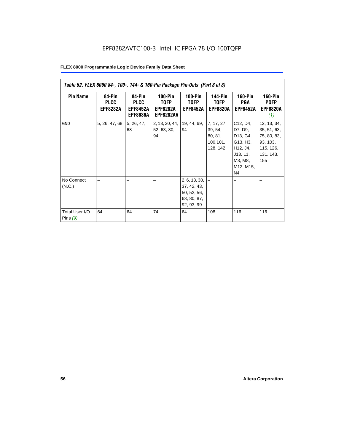| Table 52. FLEX 8000 84-, 100-, 144- & 160-Pin Package Pin-Outs (Part 3 of 3) |                                          |                                                             |                                                        |                                                                                |                                                           |                                                                                                   |                                                                                        |  |  |
|------------------------------------------------------------------------------|------------------------------------------|-------------------------------------------------------------|--------------------------------------------------------|--------------------------------------------------------------------------------|-----------------------------------------------------------|---------------------------------------------------------------------------------------------------|----------------------------------------------------------------------------------------|--|--|
| <b>Pin Name</b>                                                              | 84-Pin<br><b>PLCC</b><br><b>EPF8282A</b> | 84-Pin<br><b>PLCC</b><br><b>EPF8452A</b><br><b>EPF8636A</b> | 100-Pin<br>TQFP<br><b>EPF8282A</b><br><b>EPF8282AV</b> | $100-Pin$<br>TQFP<br><b>EPF8452A</b>                                           | <b>144-Pin</b><br><b>TQFP</b><br><b>EPF8820A</b>          | <b>160-Pin</b><br>PGA<br><b>EPF8452A</b>                                                          | <b>160-Pin</b><br><b>PQFP</b><br><b>EPF8820A</b><br>(1)                                |  |  |
| <b>GND</b>                                                                   | 5, 26, 47, 68                            | 5, 26, 47,<br>68                                            | 2, 13, 30, 44,<br>52, 63, 80,<br>94                    | 19, 44, 69,<br>94                                                              | 7, 17, 27,<br>39, 54,<br>80, 81,<br>100, 101,<br>128, 142 | C12, D4,<br>D7, D9,<br>D13, G4,<br>G13, H3,<br>H12, J4,<br>J13, L1,<br>M3, M8,<br>M12, M15,<br>N4 | 12, 13, 34,<br>35, 51, 63,<br>75, 80, 83,<br>93, 103,<br>115, 126,<br>131, 143,<br>155 |  |  |
| No Connect<br>(N.C.)<br>Total User I/O<br>Pins $(9)$                         | 64                                       | 64                                                          | 74                                                     | 2, 6, 13, 30,<br>37, 42, 43,<br>50, 52, 56,<br>63, 80, 87,<br>92, 93, 99<br>64 | 108                                                       | 116                                                                                               | 116                                                                                    |  |  |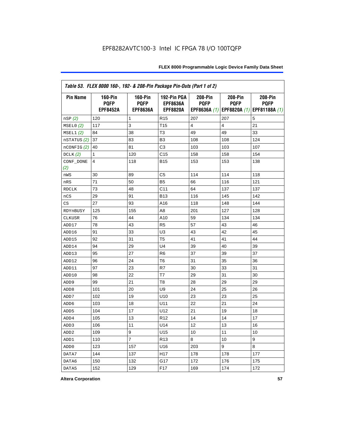| Table 53. FLEX 8000 160-, 192- & 208-Pin Package Pin-Outs (Part 1 of 2) |                                                  |                                                  |                                                   |                        |                        |                                                                   |  |
|-------------------------------------------------------------------------|--------------------------------------------------|--------------------------------------------------|---------------------------------------------------|------------------------|------------------------|-------------------------------------------------------------------|--|
| <b>Pin Name</b>                                                         | <b>160-Pin</b><br><b>PQFP</b><br><b>EPF8452A</b> | <b>160-Pin</b><br><b>PQFP</b><br><b>EPF8636A</b> | 192-Pin PGA<br><b>EPF8636A</b><br><b>EPF8820A</b> | 208-Pin<br><b>PQFP</b> | 208-Pin<br><b>PQFP</b> | 208-Pin<br><b>PQFP</b><br>EPF8636A (1) EPF8820A (1) EPF81188A (1) |  |
| nSP (2)                                                                 | 120                                              | 1                                                | R <sub>15</sub>                                   | 207                    | 207                    | 5                                                                 |  |
| MSELO(2)                                                                | 117                                              | 3                                                | T <sub>15</sub>                                   | 4                      | 4                      | 21                                                                |  |
| MSEL1(2)                                                                | 84                                               | 38                                               | T <sub>3</sub>                                    | 49                     | 49                     | 33                                                                |  |
| nSTATUS (2)                                                             | 37                                               | 83                                               | B <sub>3</sub>                                    | 108                    | 108                    | 124                                                               |  |
| nCONFIG (2)                                                             | 40                                               | 81                                               | C <sub>3</sub>                                    | 103                    | 103                    | 107                                                               |  |
| DCLK $(2)$                                                              | 1                                                | 120                                              | C <sub>15</sub>                                   | 158                    | 158                    | 154                                                               |  |
| CONF_DONE<br>(2)                                                        | 4                                                | 118                                              | <b>B15</b>                                        | 153                    | 153                    | 138                                                               |  |
| nWS                                                                     | 30                                               | 89                                               | C5                                                | 114                    | 114                    | 118                                                               |  |
| nRS                                                                     | 71                                               | 50                                               | B <sub>5</sub>                                    | 66                     | 116                    | 121                                                               |  |
| <b>RDCLK</b>                                                            | 73                                               | 48                                               | C <sub>11</sub>                                   | 64                     | 137                    | 137                                                               |  |
| nCS                                                                     | 29                                               | 91                                               | <b>B13</b>                                        | 116                    | 145                    | 142                                                               |  |
| CS                                                                      | 27                                               | 93                                               | A16                                               | 118                    | 148                    | 144                                                               |  |
| RDYnBUSY                                                                | 125                                              | 155                                              | A <sub>8</sub>                                    | 201                    | 127                    | 128                                                               |  |
| CLKUSR                                                                  | 76                                               | 44                                               | A10                                               | 59                     | 134                    | 134                                                               |  |
| ADD17                                                                   | 78                                               | 43                                               | R <sub>5</sub>                                    | 57                     | 43                     | 46                                                                |  |
| ADD16                                                                   | 91                                               | 33                                               | U <sub>3</sub>                                    | 43                     | 42                     | 45                                                                |  |
| ADD15                                                                   | 92                                               | 31                                               | T <sub>5</sub>                                    | 41                     | 41                     | 44                                                                |  |
| ADD14                                                                   | 94                                               | 29                                               | U <sub>4</sub>                                    | 39                     | 40                     | 39                                                                |  |
| ADD13                                                                   | 95                                               | 27                                               | R <sub>6</sub>                                    | 37                     | 39                     | 37                                                                |  |
| ADD12                                                                   | 96                                               | 24                                               | T <sub>6</sub>                                    | 31                     | 35                     | 36                                                                |  |
| ADD11                                                                   | 97                                               | 23                                               | R7                                                | 30                     | 33                     | 31                                                                |  |
| ADD10                                                                   | 98                                               | 22                                               | T7                                                | 29                     | 31                     | 30                                                                |  |
| ADD <sub>9</sub>                                                        | 99                                               | 21                                               | T <sub>8</sub>                                    | 28                     | 29                     | 29                                                                |  |
| ADD <sub>8</sub>                                                        | 101                                              | 20                                               | U <sub>9</sub>                                    | 24                     | 25                     | 26                                                                |  |
| ADD7                                                                    | 102                                              | 19                                               | U10                                               | 23                     | 23                     | 25                                                                |  |
| ADD <sub>6</sub>                                                        | 103                                              | 18                                               | U11                                               | 22                     | 21                     | 24                                                                |  |
| ADD <sub>5</sub>                                                        | 104                                              | 17                                               | U12                                               | 21                     | 19                     | 18                                                                |  |
| ADD4                                                                    | 105                                              | 13                                               | R <sub>12</sub>                                   | 14                     | 14                     | 17                                                                |  |
| ADD <sub>3</sub>                                                        | 106                                              | 11                                               | U14                                               | 12                     | 13                     | 16                                                                |  |
| ADD <sub>2</sub>                                                        | 109                                              | 9                                                | U15                                               | 10                     | 11                     | 10                                                                |  |
| ADD1                                                                    | 110                                              | $\overline{7}$                                   | R <sub>13</sub>                                   | 8                      | 10                     | 9                                                                 |  |
| ADD <sub>0</sub>                                                        | 123                                              | 157                                              | U16                                               | 203                    | 9                      | 8                                                                 |  |
| DATA7                                                                   | 144                                              | 137                                              | H <sub>17</sub>                                   | 178                    | 178                    | 177                                                               |  |
| DATA6                                                                   | 150                                              | 132                                              | G17                                               | 172                    | 176                    | 175                                                               |  |
| DATA5                                                                   | 152                                              | 129                                              | F <sub>17</sub>                                   | 169                    | 174                    | 172                                                               |  |

**Altera Corporation 57**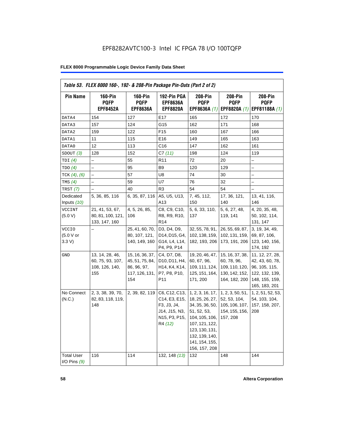| <b>Pin Name</b>                     | <b>160-Pin</b><br><b>PQFP</b><br><b>EPF8452A</b>             | $160-Pin$<br><b>PQFP</b><br><b>EPF8636A</b>                                | 192-Pin PGA<br><b>EPF8636A</b><br><b>EPF8820A</b>                                                                       | 208-Pin<br><b>PQFP</b><br>EPF8636A (1)                                                                                                                                           | <b>208-Pin</b><br><b>PQFP</b><br>EPF8820A (1)                                       | 208-Pin<br><b>PQFP</b><br>EPF81188A (1)                                                                  |
|-------------------------------------|--------------------------------------------------------------|----------------------------------------------------------------------------|-------------------------------------------------------------------------------------------------------------------------|----------------------------------------------------------------------------------------------------------------------------------------------------------------------------------|-------------------------------------------------------------------------------------|----------------------------------------------------------------------------------------------------------|
| DATA4                               | 154                                                          | 127                                                                        | E17                                                                                                                     | 165                                                                                                                                                                              | 172                                                                                 | 170                                                                                                      |
| DATA3                               | 157                                                          | 124                                                                        | G15                                                                                                                     | 162                                                                                                                                                                              | 171                                                                                 | 168                                                                                                      |
| DATA2                               | 159                                                          | 122                                                                        | F <sub>15</sub>                                                                                                         | 160                                                                                                                                                                              | 167                                                                                 | 166                                                                                                      |
| DATA1                               | 11                                                           | 115                                                                        | E16                                                                                                                     | 149                                                                                                                                                                              | 165                                                                                 | 163                                                                                                      |
| DATA0                               | 12                                                           | 113                                                                        | C16                                                                                                                     | 147                                                                                                                                                                              | 162                                                                                 | 161                                                                                                      |
| SDOUT(3)                            | 128                                                          | 152                                                                        | C7(11)                                                                                                                  | 198                                                                                                                                                                              | 124                                                                                 | 119                                                                                                      |
| TDI(4)                              |                                                              | 55                                                                         | R <sub>11</sub>                                                                                                         | 72                                                                                                                                                                               | 20                                                                                  |                                                                                                          |
| TDO(4)                              | $\overline{a}$                                               | 95                                                                         | B <sub>9</sub>                                                                                                          | 120                                                                                                                                                                              | 129                                                                                 | $\overline{\phantom{0}}$                                                                                 |
| TCK $(4)$ , $(6)$                   |                                                              | 57                                                                         | U8                                                                                                                      | 74                                                                                                                                                                               | 30                                                                                  |                                                                                                          |
| TMS $(4)$                           |                                                              | 59                                                                         | U7                                                                                                                      | 76                                                                                                                                                                               | 32                                                                                  | -                                                                                                        |
| TRST(7)                             |                                                              | 40                                                                         | R <sub>3</sub>                                                                                                          | 54                                                                                                                                                                               | 54                                                                                  |                                                                                                          |
| Dedicated<br>Inputs (10)            | 5, 36, 85, 116                                               | 6, 35, 87, 116                                                             | A5, U5, U13,<br>A13                                                                                                     | 7, 45, 112,<br>150                                                                                                                                                               | 17, 36, 121,<br>140                                                                 | 13, 41, 116,<br>146                                                                                      |
| <b>VCCINT</b><br>(5.0 V)            | 21, 41, 53, 67,<br>80, 81, 100, 121,<br>133, 147, 160        | 4, 5, 26, 85,<br>106                                                       | C8, C9, C10,<br>R8, R9, R10,<br>R <sub>14</sub>                                                                         | 5, 6, 33, 110,<br>137                                                                                                                                                            | 5, 6, 27, 48,<br>119, 141                                                           | 4, 20, 35, 48,<br>50, 102, 114,<br>131, 147                                                              |
| <b>VCCIO</b><br>(5.0 V or<br>3.3 V  |                                                              | 25, 41, 60, 70,<br>80, 107, 121,<br>140, 149, 160                          | D3, D4, D9,<br>D14, D15, G4,<br>G14, L4, L14,<br>P4, P9, P14                                                            | 32, 55, 78, 91,<br>102, 138, 159,<br>182, 193, 206                                                                                                                               | 26, 55, 69, 87,<br>102, 131, 159,<br>173, 191, 206                                  | 3, 19, 34, 49,<br>69, 87, 106,<br>123, 140, 156,<br>174, 192                                             |
| GND                                 | 13, 14, 28, 46,<br>60, 75, 93, 107,<br>108, 126, 140,<br>155 | 15, 16, 36, 37,<br>45, 51, 75, 84,<br>86, 96, 97,<br>117, 126, 131,<br>154 | C4, D7, D8,<br>D10, D11, H4,<br>H <sub>14</sub> , K <sub>4</sub> , K <sub>14</sub> ,<br>P7, P8, P10,<br>P <sub>11</sub> | 19, 20, 46, 47,<br>60, 67, 96,<br>109, 111, 124,<br>125, 151, 164,<br>171, 200                                                                                                   | 15, 16, 37, 38,<br>60, 78, 96,<br>109, 110, 120,<br>130, 142, 152,<br>164, 182, 200 | 11, 12, 27, 28,<br>42, 43, 60, 78,<br>96, 105, 115,<br>122, 132, 139,<br>148, 155, 159,<br>165, 183, 201 |
| No Connect<br>(N.C.)                | 2, 3, 38, 39, 70,<br>82, 83, 118, 119,<br>148                | 2, 39, 82, 119                                                             | C6, C12, C13,<br>C14, E3, E15,<br>F3, J3, J4,<br>J14, J15, N3,<br>N15, P3, P15,<br>R4 (12)                              | 1, 2, 3, 16, 17,<br>18, 25, 26, 27,<br>34, 35, 36, 50,<br>51, 52, 53,<br>104, 105, 106,<br>107, 121, 122,<br>123, 130, 131,<br>132, 139, 140,<br>141, 154, 155,<br>156, 157, 208 | 1, 2, 3, 50, 51,<br>52, 53, 104,<br>105, 106, 107,<br>154, 155, 156,<br>157, 208    | 1, 2, 51, 52, 53,<br>54, 103, 104,<br>157, 158, 207,<br>208                                              |
| <b>Total User</b><br>I/O Pins $(9)$ | 116                                                          | 114                                                                        | 132, 148 (13)                                                                                                           | 132                                                                                                                                                                              | 148                                                                                 | 144                                                                                                      |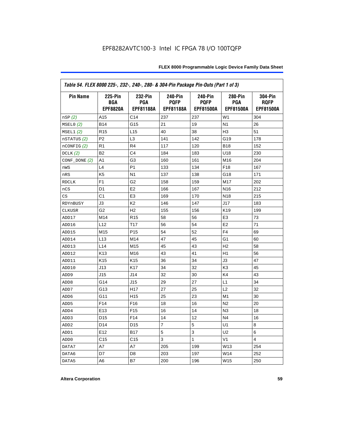| Table 54. FLEX 8000 225-, 232-, 240-, 280- & 304-Pin Package Pin-Outs (Part 1 of 3) |                                          |                                           |                                                   |                                            |                                           |                                            |
|-------------------------------------------------------------------------------------|------------------------------------------|-------------------------------------------|---------------------------------------------------|--------------------------------------------|-------------------------------------------|--------------------------------------------|
| <b>Pin Name</b>                                                                     | <b>225-Pin</b><br>BGA<br><b>EPF8820A</b> | 232-Pin<br><b>PGA</b><br><b>EPF81188A</b> | <b>240-Pin</b><br><b>PQFP</b><br><b>EPF81188A</b> | 240-Pin<br><b>PQFP</b><br><b>EPF81500A</b> | 280-Pin<br><b>PGA</b><br><b>EPF81500A</b> | 304-Pin<br><b>ROFP</b><br><b>EPF81500A</b> |
| nSP(2)                                                                              | A15                                      | C14                                       | 237                                               | 237                                        | W <sub>1</sub>                            | 304                                        |
| MSELO(2)                                                                            | <b>B14</b>                               | G15                                       | 21                                                | 19                                         | N <sub>1</sub>                            | 26                                         |
| MSEL1(2)                                                                            | R <sub>15</sub>                          | L <sub>15</sub>                           | 40                                                | 38                                         | H <sub>3</sub>                            | 51                                         |
| nSTATUS (2)                                                                         | P <sub>2</sub>                           | L <sub>3</sub>                            | 141                                               | 142                                        | G19                                       | 178                                        |
| $n$ CONFIG $(2)$                                                                    | R1                                       | R <sub>4</sub>                            | 117                                               | 120                                        | <b>B18</b>                                | 152                                        |
| DCLK(2)                                                                             | B <sub>2</sub>                           | C <sub>4</sub>                            | 184                                               | 183                                        | U18                                       | 230                                        |
| $CONF$ DONE $(2)$                                                                   | A1                                       | G3                                        | 160                                               | 161                                        | M16                                       | 204                                        |
| nWS                                                                                 | L4                                       | P <sub>1</sub>                            | 133                                               | 134                                        | F18                                       | 167                                        |
| nRS                                                                                 | K <sub>5</sub>                           | N <sub>1</sub>                            | 137                                               | 138                                        | G18                                       | 171                                        |
| <b>RDCLK</b>                                                                        | F <sub>1</sub>                           | G <sub>2</sub>                            | 158                                               | 159                                        | M <sub>17</sub>                           | 202                                        |
| nCS                                                                                 | D <sub>1</sub>                           | E <sub>2</sub>                            | 166                                               | 167                                        | N <sub>16</sub>                           | 212                                        |
| CS                                                                                  | C <sub>1</sub>                           | E <sub>3</sub>                            | 169                                               | 170                                        | N <sub>18</sub>                           | 215                                        |
| RDYnBUSY                                                                            | J3                                       | K <sub>2</sub>                            | 146                                               | 147                                        | J17                                       | 183                                        |
| <b>CLKUSR</b>                                                                       | G <sub>2</sub>                           | H <sub>2</sub>                            | 155                                               | 156                                        | K <sub>19</sub>                           | 199                                        |
| ADD17                                                                               | M14                                      | R <sub>15</sub>                           | 58                                                | 56                                         | E <sub>3</sub>                            | 73                                         |
| ADD16                                                                               | L12                                      | T17                                       | 56                                                | 54                                         | E <sub>2</sub>                            | 71                                         |
| ADD15                                                                               | M15                                      | P <sub>15</sub>                           | 54                                                | 52                                         | F <sub>4</sub>                            | 69                                         |
| ADD14                                                                               | L13                                      | M14                                       | 47                                                | 45                                         | G1                                        | 60                                         |
| ADD13                                                                               | L14                                      | M15                                       | 45                                                | 43                                         | H <sub>2</sub>                            | 58                                         |
| ADD12                                                                               | K <sub>13</sub>                          | M16                                       | 43                                                | 41                                         | H1                                        | 56                                         |
| ADD11                                                                               | K <sub>15</sub>                          | K <sub>15</sub>                           | 36                                                | 34                                         | JЗ                                        | 47                                         |
| ADD10                                                                               | J13                                      | K <sub>17</sub>                           | 34                                                | 32                                         | K <sub>3</sub>                            | 45                                         |
| ADD9                                                                                | J15                                      | J14                                       | 32                                                | 30                                         | K4                                        | 43                                         |
| ADD <sub>8</sub>                                                                    | G14                                      | J15                                       | 29                                                | 27                                         | L1                                        | 34                                         |
| ADD7                                                                                | G13                                      | H <sub>17</sub>                           | 27                                                | 25                                         | L2                                        | 32                                         |
| ADD <sub>6</sub>                                                                    | G11                                      | H <sub>15</sub>                           | 25                                                | 23                                         | M1                                        | 30                                         |
| ADD <sub>5</sub>                                                                    | F14                                      | F <sub>16</sub>                           | 18                                                | 16                                         | N <sub>2</sub>                            | 20                                         |
| ADD4                                                                                | E <sub>13</sub>                          | F <sub>15</sub>                           | 16                                                | 14                                         | N <sub>3</sub>                            | 18                                         |
| ADD3                                                                                | D <sub>15</sub>                          | F14                                       | 14                                                | 12                                         | N <sub>4</sub>                            | 16                                         |
| ADD <sub>2</sub>                                                                    | D <sub>14</sub>                          | D <sub>15</sub>                           | 7                                                 | 5                                          | U1                                        | 8                                          |
| ADD1                                                                                | E12                                      | <b>B17</b>                                | 5                                                 | 3                                          | U <sub>2</sub>                            | 6                                          |
| ADD <sub>0</sub>                                                                    | C <sub>15</sub>                          | C <sub>15</sub>                           | 3                                                 | 1                                          | V <sub>1</sub>                            | 4                                          |
| DATA7                                                                               | A7                                       | A7                                        | 205                                               | 199                                        | W13                                       | 254                                        |
| DATA6                                                                               | D7                                       | D8                                        | 203                                               | 197                                        | W14                                       | 252                                        |
| DATA5                                                                               | A6                                       | B7                                        | 200                                               | 196                                        | W15                                       | 250                                        |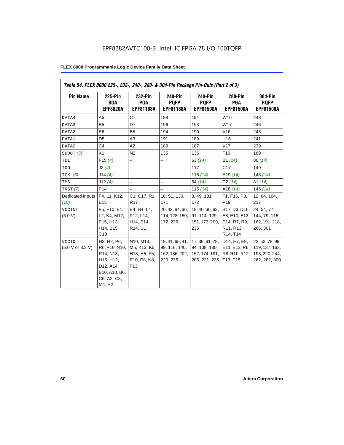| Table 54. FLEX 8000 225-, 232-, 240-, 280- & 304-Pin Package Pin-Outs (Part 2 of 3) |                                                                                                                                         |                                                                              |                                                                |                                                                       |                                                                                                                            |                                                                      |
|-------------------------------------------------------------------------------------|-----------------------------------------------------------------------------------------------------------------------------------------|------------------------------------------------------------------------------|----------------------------------------------------------------|-----------------------------------------------------------------------|----------------------------------------------------------------------------------------------------------------------------|----------------------------------------------------------------------|
| <b>Pin Name</b>                                                                     | 225-Pin<br>BGA<br><b>EPF8820A</b>                                                                                                       | 232-Pin<br>PGA<br><b>EPF81188A</b>                                           | 240-Pin<br><b>PQFP</b><br><b>EPF81188A</b>                     | 240-Pin<br><b>PQFP</b><br><b>EPF81500A</b>                            | <b>280-Pin</b><br>PGA<br><b>EPF81500A</b>                                                                                  | <b>304-Pin</b><br><b>RQFP</b><br><b>EPF81500A</b>                    |
| DATA4                                                                               | A <sub>5</sub>                                                                                                                          | C7                                                                           | 198                                                            | 194                                                                   | W16                                                                                                                        | 248                                                                  |
| DATA3                                                                               | <b>B5</b>                                                                                                                               | D7                                                                           | 196                                                            | 193                                                                   | W17                                                                                                                        | 246                                                                  |
| DATA2                                                                               | E <sub>6</sub>                                                                                                                          | <b>B5</b>                                                                    | 194                                                            | 190                                                                   | V16                                                                                                                        | 243                                                                  |
| DATA1                                                                               | D <sub>5</sub>                                                                                                                          | A3                                                                           | 191                                                            | 189                                                                   | U16                                                                                                                        | 241                                                                  |
| DATA0                                                                               | C <sub>4</sub>                                                                                                                          | A2                                                                           | 189                                                            | 187                                                                   | V17                                                                                                                        | 239                                                                  |
| SDOUT(3)                                                                            | K1                                                                                                                                      | N <sub>2</sub>                                                               | 135                                                            | 136                                                                   | F <sub>19</sub>                                                                                                            | 169                                                                  |
| TDI                                                                                 | F15(4)                                                                                                                                  | $\overline{\phantom{0}}$                                                     | $\overline{\phantom{0}}$                                       | 63(14)                                                                | B1 (14)                                                                                                                    | 80(14)                                                               |
| TDO                                                                                 | J2(4)                                                                                                                                   | $\overline{\phantom{0}}$                                                     | $\overline{\phantom{0}}$                                       | 117                                                                   | C17                                                                                                                        | 149                                                                  |
| TCK $(6)$                                                                           | J14(4)                                                                                                                                  |                                                                              | -                                                              | 116 $(14)$                                                            | A19 $(14)$                                                                                                                 | 148 $(14)$                                                           |
| TMS                                                                                 | J12(4)                                                                                                                                  |                                                                              | $\overline{\phantom{0}}$                                       | 64 (14)                                                               | C2(14)                                                                                                                     | 81(14)                                                               |
| <b>TRST</b> (7)                                                                     | P <sub>14</sub>                                                                                                                         | $\overline{\phantom{0}}$                                                     | $\overline{\phantom{0}}$                                       | 115(14)                                                               | A18 $(14)$                                                                                                                 | 145(14)                                                              |
| Dedicated Inputs<br>(10)                                                            | F4, L1, K12,<br>E <sub>15</sub>                                                                                                         | C1, C17, R1,<br>R <sub>17</sub>                                              | 10, 51, 130,<br>171                                            | 8, 49, 131,<br>172                                                    | F1, F16, P3,<br>P <sub>19</sub>                                                                                            | 12, 64, 164,<br>217                                                  |
| <b>VCCINT</b><br>(5.0 V)                                                            | F5, F10, E1,<br>L2, K4, M12,<br>P15, H13,<br>H14, B15,<br>C13                                                                           | E4, H4, L4,<br>P12, L14,<br>H14, E14,<br>R <sub>14</sub> , U <sub>1</sub>    | 20, 42, 64, 66,<br>114, 128, 150,<br>172, 236                  | 18, 40, 60, 62,<br>91, 114, 129,<br>151, 173, 209,<br>236             | B17, D3, D15,<br>E8, E10, E12,<br>E14, R7, R9,<br>R <sub>11</sub> , R <sub>13</sub> ,<br>R <sub>14</sub> , T <sub>14</sub> | 24, 54, 77,<br>144, 79, 115,<br>162, 191, 218,<br>266, 301           |
| <b>VCCIO</b><br>(5.0 V or 3.3 V)                                                    | H3, H2, P6,<br>R6, P10, N10,<br>R <sub>14</sub> , N <sub>13</sub> ,<br>H15, H12,<br>D12, A14,<br>B10, A10, B6,<br>C6, A2, C3,<br>M4, R2 | N10, M13,<br>M5, K13, K5,<br>H13, H5, F5,<br>E10, E8, N8,<br>F <sub>13</sub> | 19, 41, 65, 81,<br>99, 116, 140,<br>162, 186, 202,<br>220, 235 | 17, 39, 61, 78,<br>94, 108, 130,<br>152, 174, 191, 1<br>205, 221, 235 | D14, E7, E9,<br>E11, E13, R6,<br>R8, R10, R12,<br>T13, T15                                                                 | 22, 53, 78, 99,<br>119, 137, 163,<br>193, 220, 244,<br>262, 282, 300 |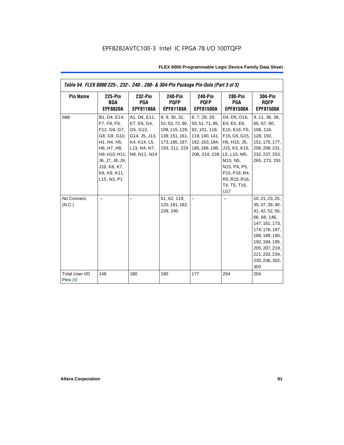| Table 54. FLEX 8000 225-, 232-, 240-, 280- & 304-Pin Package Pin-Outs (Part 3 of 3) |                                                                                                                                                                              |                                                                                                          |                                                                                                         |                                                                                                                                                              |                                                                                                                                                                              |                                                                                                                                                                                                            |
|-------------------------------------------------------------------------------------|------------------------------------------------------------------------------------------------------------------------------------------------------------------------------|----------------------------------------------------------------------------------------------------------|---------------------------------------------------------------------------------------------------------|--------------------------------------------------------------------------------------------------------------------------------------------------------------|------------------------------------------------------------------------------------------------------------------------------------------------------------------------------|------------------------------------------------------------------------------------------------------------------------------------------------------------------------------------------------------------|
| <b>Pin Name</b>                                                                     | <b>225-Pin</b><br>BGA<br><b>EPF8820A</b>                                                                                                                                     | 232-Pin<br>PGA<br><b>EPF81188A</b>                                                                       | <b>240-Pin</b><br><b>PQFP</b><br><b>EPF81188A</b>                                                       | <b>240-Pin</b><br><b>PQFP</b><br><b>EPF81500A</b>                                                                                                            | <b>280-Pin</b><br>PGA<br><b>EPF81500A</b>                                                                                                                                    | <b>304-Pin</b><br><b>RQFP</b><br><b>EPF81500A</b>                                                                                                                                                          |
| <b>GND</b>                                                                          | B1, D4, E14,<br>F7, F8, F9,<br>F12, G6, G7,<br>G8, G9, G10,<br>H1, H4, H5,<br>H6, H7, H8,<br>H9, H10, H11,<br>J6, J7, J8, J9,<br>J10, K6, K7,<br>K8, K9, K11,<br>L15, N3, P1 | A1, D6, E11,<br>E7, E9, G4,<br>G5, G13,<br>G14, J5, J13,<br>K4, K14, L5,<br>L13, N4, N7,<br>N9, N11, N14 | 8, 9, 30, 31,<br>52, 53, 72, 90,<br>108, 115, 129,<br>139, 151, 161,<br>173, 185, 187,<br>193, 211, 229 | 6, 7, 28, 29,<br>50, 51, 71, 85, E4, E5, E6,<br>92, 101, 118,<br>162, 163, 184, H5, H15, J5,<br>185, 186, 198, J15, K5, K15,<br>208, 214, 228   L5, L15, M5, | D4, D5, D16,<br>E15, E16, F5,<br>119, 140, 141, F15, G5, G15,<br>M <sub>15</sub> , N <sub>5</sub> ,<br>N15, P4, P5,<br>P15, P16, R4,<br>R5, R15, R16,<br>T4, T5, T16,<br>U17 | 9, 11, 36, 38,<br>65, 67, 90,<br>108, 116,<br>128, 150,<br>151, 175, 177,<br>206, 208, 231,<br>232, 237, 253,<br>265, 273, 291                                                                             |
| No Connect<br>(N.C.)                                                                |                                                                                                                                                                              |                                                                                                          | 61, 62, 119,<br>120, 181, 182,<br>239, 240                                                              |                                                                                                                                                              |                                                                                                                                                                              | 10, 21, 23, 25,<br>35, 37, 39, 40,<br>41, 42, 52, 55,<br>66, 68, 146,<br>147, 161, 173,<br>174, 176, 187,<br>188, 189, 190,<br>192, 194, 195,<br>205, 207, 219,<br>221, 233, 234,<br>235, 236, 302,<br>303 |
| Total User I/O<br>Pins $(9)$                                                        | 148                                                                                                                                                                          | 180                                                                                                      | 180                                                                                                     | 177                                                                                                                                                          | 204                                                                                                                                                                          | 204                                                                                                                                                                                                        |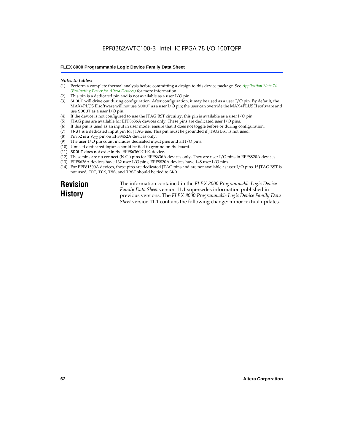### EPF8282AVTC100-3 Intel IC FPGA 78 I/O 100TQFP

#### **FLEX 8000 Programmable Logic Device Family Data Sheet**

#### *Notes to tables:*

- (1) Perform a complete thermal analysis before committing a design to this device package. See *Application Note 74 (Evaluating Power for Altera Devices)* for more information.
- (2) This pin is a dedicated pin and is not available as a user I/O pin.
- (3) SDOUT will drive out during configuration. After configuration, it may be used as a user I/O pin. By default, the MAX+PLUS II software will not use SDOUT as a user I/O pin; the user can override the MAX+PLUS II software and use SDOUT as a user I/O pin.
- (4) If the device is not configured to use the JTAG BST circuitry, this pin is available as a user I/O pin.
- (5) JTAG pins are available for EPF8636A devices only. These pins are dedicated user I/O pins.
- $(6)$  If this pin is used as an input in user mode, ensure that it does not toggle before or during configuration.
- (7) TRST is a dedicated input pin for JTAG use. This pin must be grounded if JTAG BST is not used.
- (8) Pin 52 is a  $V_{CC}$  pin on EPF8452A devices only.
- (9) The user I/O pin count includes dedicated input pins and all I/O pins.
- (10) Unused dedicated inputs should be tied to ground on the board.
- (11) SDOUT does not exist in the EPF8636GC192 device.
- (12) These pins are no connect (N.C.) pins for EPF8636A devices only. They are user I/O pins in EPF8820A devices.
- (13) EPF8636A devices have 132 user I/O pins; EPF8820A devices have 148 user I/O pins.
- (14) For EPF81500A devices, these pins are dedicated JTAG pins and are not available as user I/O pins. If JTAG BST is not used, TDI, TCK, TMS, and TRST should be tied to GND.

**Revision History**

The information contained in the *FLEX 8000 Programmable Logic Device Family Data Sheet* version 11.1 supersedes information published in previous versions. The *FLEX 8000 Programmable Logic Device Family Data Sheet* version 11.1 contains the following change: minor textual updates.